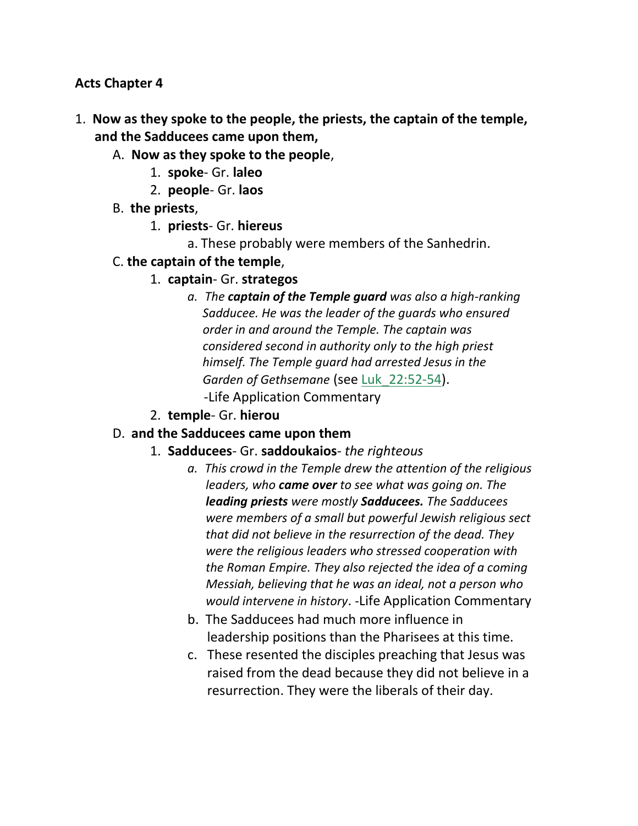#### **Acts Chapter 4**

- 1. **Now as they spoke to the people, the priests, the captain of the temple, and the Sadducees came upon them,**
	- A. **Now as they spoke to the people**,
		- 1. **spoke** Gr. **laleo**
		- 2. **people** Gr. **laos**
	- B. **the priests**,
		- 1. **priests** Gr. **hiereus**
			- a. These probably were members of the Sanhedrin.
	- C. **the captain of the temple**,
		- 1. **captain** Gr. **strategos**
			- *a. The captain of the Temple guard was also a high-ranking Sadducee. He was the leader of the guards who ensured order in and around the Temple. The captain was considered second in authority only to the high priest himself. The Temple guard had arrested Jesus in the Garden of Gethsemane* (see Luk\_22:52-54). -Life Application Commentary
		- 2. **temple** Gr. **hierou**

#### D. **and the Sadducees came upon them**

- 1. **Sadducees** Gr. **saddoukaios** *the righteous*
	- *a. This crowd in the Temple drew the attention of the religious leaders, who came over to see what was going on. The leading priests were mostly Sadducees. The Sadducees were members of a small but powerful Jewish religious sect that did not believe in the resurrection of the dead. They were the religious leaders who stressed cooperation with the Roman Empire. They also rejected the idea of a coming Messiah, believing that he was an ideal, not a person who would intervene in history*. -Life Application Commentary
	- b. The Sadducees had much more influence in leadership positions than the Pharisees at this time.
	- c. These resented the disciples preaching that Jesus was raised from the dead because they did not believe in a resurrection. They were the liberals of their day.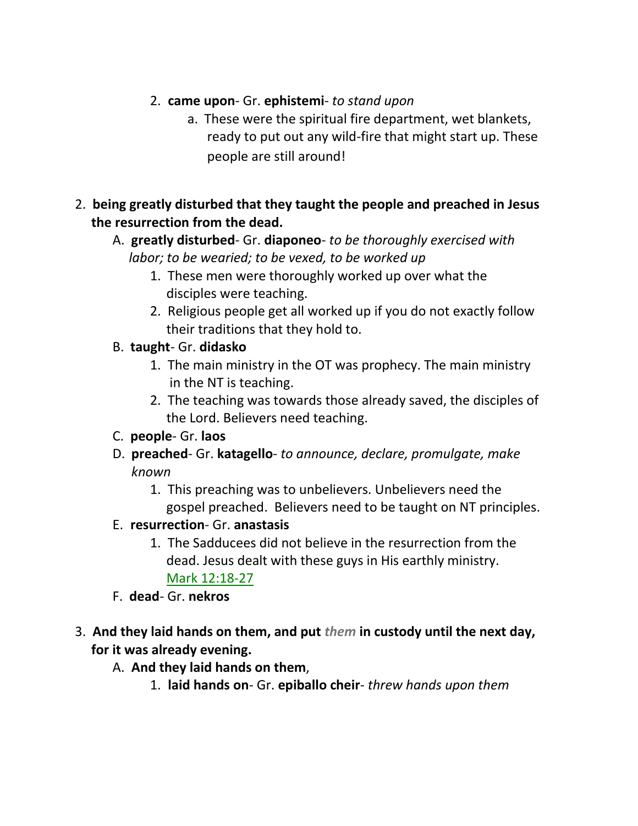### 2. **came upon**- Gr. **ephistemi**- *to stand upon*

- a. These were the spiritual fire department, wet blankets, ready to put out any wild-fire that might start up. These people are still around!
- 2. **being greatly disturbed that they taught the people and preached in Jesus the resurrection from the dead.**
	- A. **greatly disturbed** Gr. **diaponeo** *to be thoroughly exercised with labor; to be wearied; to be vexed, to be worked up*
		- 1. These men were thoroughly worked up over what the disciples were teaching.
		- 2. Religious people get all worked up if you do not exactly follow their traditions that they hold to.
	- B. **taught** Gr. **didasko**
		- 1. The main ministry in the OT was prophecy. The main ministry in the NT is teaching.
		- 2. The teaching was towards those already saved, the disciples of the Lord. Believers need teaching.
	- C. **people** Gr. **laos**
	- D. **preached** Gr. **katagello** *to announce, declare, promulgate, make known*
		- 1. This preaching was to unbelievers. Unbelievers need the gospel preached. Believers need to be taught on NT principles.
	- E. **resurrection** Gr. **anastasis**
		- 1. The Sadducees did not believe in the resurrection from the dead. Jesus dealt with these guys in His earthly ministry. Mark 12:18-27
	- F. **dead** Gr. **nekros**
- 3. **And they laid hands on them, and put** *them* **in custody until the next day, for it was already evening.**
	- A. **And they laid hands on them**,
		- 1. **laid hands on** Gr. **epiballo cheir** *threw hands upon them*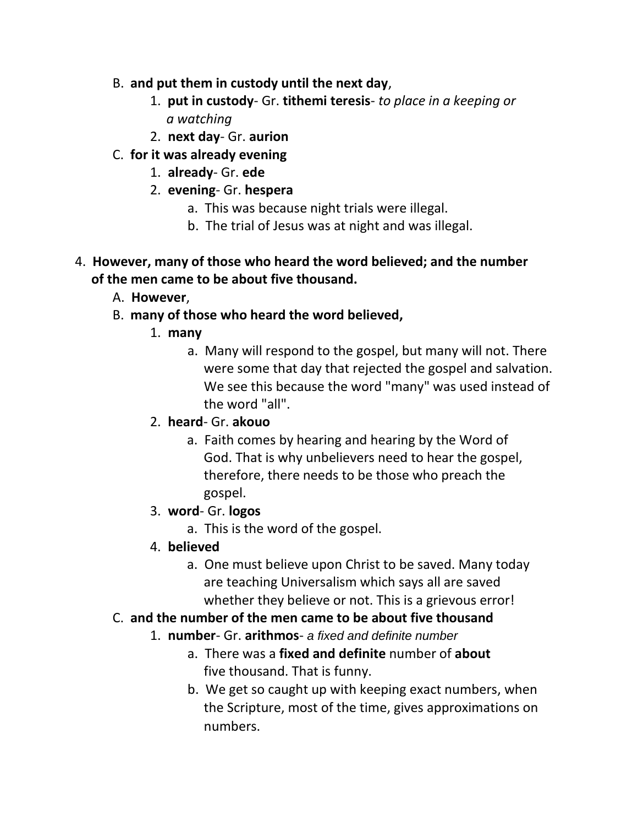- B. **and put them in custody until the next day**,
	- 1. **put in custody** Gr. **tithemi teresis** *to place in a keeping or a watching*
	- 2. **next day** Gr. **aurion**
- C. **for it was already evening**
	- 1. **already** Gr. **ede**
	- 2. **evening** Gr. **hespera**
		- a. This was because night trials were illegal.
		- b. The trial of Jesus was at night and was illegal.
- 4. **However, many of those who heard the word believed; and the number of the men came to be about five thousand.**
	- A. **However**,
	- B. **many of those who heard the word believed,**
		- 1. **many**
			- a. Many will respond to the gospel, but many will not. There were some that day that rejected the gospel and salvation. We see this because the word "many" was used instead of the word "all".
		- 2. **heard** Gr. **akouo**
			- a. Faith comes by hearing and hearing by the Word of God. That is why unbelievers need to hear the gospel, therefore, there needs to be those who preach the gospel.
		- 3. **word** Gr. **logos**
			- a. This is the word of the gospel.
		- 4. **believed**
			- a. One must believe upon Christ to be saved. Many today are teaching Universalism which says all are saved whether they believe or not. This is a grievous error!
	- C. **and the number of the men came to be about five thousand**
		- 1. **number** Gr. **arithmos** *a fixed and definite number*
			- a. There was a **fixed and definite** number of **about** five thousand. That is funny.
			- b. We get so caught up with keeping exact numbers, when the Scripture, most of the time, gives approximations on numbers.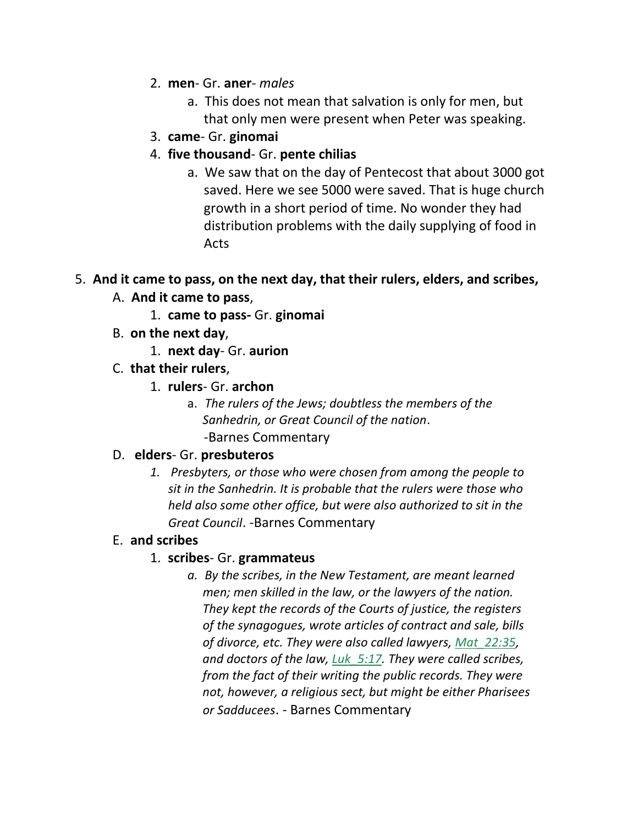- 2. **men** Gr. **aner** *males*
	- a. This does not mean that salvation is only for men, but that only men were present when Peter was speaking.
- 3. **came** Gr. **ginomai**
- 4. **five thousand** Gr. **pente chilias**
	- a. We saw that on the day of Pentecost that about 3000 got saved. Here we see 5000 were saved. That is huge church growth in a short period of time. No wonder they had distribution problems with the daily supplying of food in Acts

#### 5. **And it came to pass, on the next day, that their rulers, elders, and scribes,**

- A. **And it came to pass**,
	- 1. **came to pass-** Gr. **ginomai**
- B. **on the next day**,
	- 1. **next day** Gr. **aurion**
- C. **that their rulers**,
	- 1. **rulers** Gr. **archon**
		- a. *The rulers of the Jews; doubtless the members of the Sanhedrin, or Great Council of the nation*. -Barnes Commentary

#### D. **elders**- Gr. **presbuteros**

*1. Presbyters, or those who were chosen from among the people to sit in the Sanhedrin. It is probable that the rulers were those who held also some other office, but were also authorized to sit in the Great Council*. -Barnes Commentary

#### E. **and scribes**

#### 1. **scribes**- Gr. **grammateus**

*a. By the scribes, in the New Testament, are meant learned men; men skilled in the law, or the lawyers of the nation. They kept the records of the Courts of justice, the registers of the synagogues, wrote articles of contract and sale, bills of divorce, etc. They were also called lawyers, Mat\_22:35, and doctors of the law, Luk\_5:17. They were called scribes, from the fact of their writing the public records. They were not, however, a religious sect, but might be either Pharisees or Sadducees*. *-* Barnes Commentary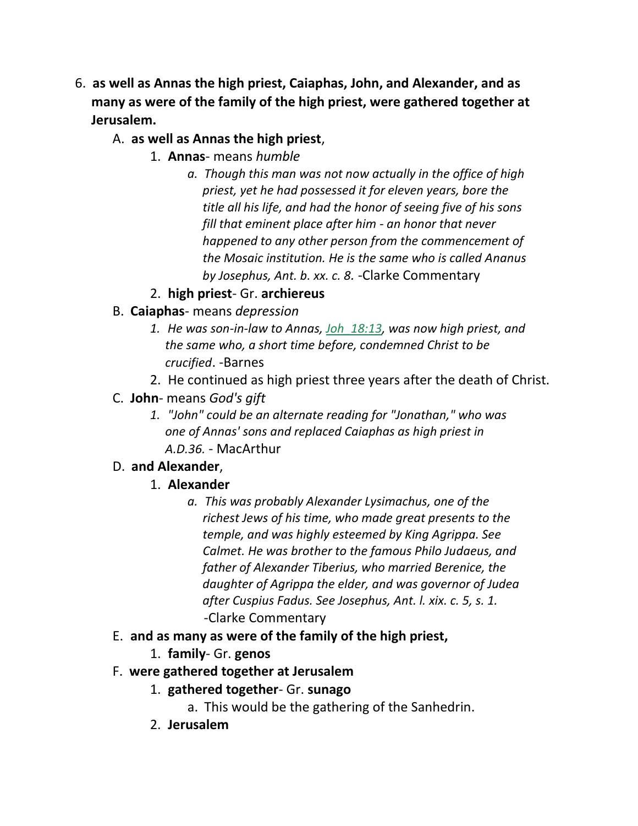- 6. **as well as Annas the high priest, Caiaphas, John, and Alexander, and as many as were of the family of the high priest, were gathered together at Jerusalem.**
	- A. **as well as Annas the high priest**,
		- 1. **Annas** means *humble*
			- *a. Though this man was not now actually in the office of high priest, yet he had possessed it for eleven years, bore the title all his life, and had the honor of seeing five of his sons fill that eminent place after him - an honor that never happened to any other person from the commencement of the Mosaic institution. He is the same who is called Ananus by Josephus, Ant. b. xx. c. 8.* -Clarke Commentary
		- 2. **high priest** Gr. **archiereus**
	- B. **Caiaphas** means *depression*
		- *1. He was son-in-law to Annas, Joh\_18:13, was now high priest, and the same who, a short time before, condemned Christ to be crucified*. -Barnes
		- 2. He continued as high priest three years after the death of Christ.
	- C. **John** means *God's gift*
		- *1. "John" could be an alternate reading for "Jonathan," who was one of Annas' sons and replaced Caiaphas as high priest in A.D.36.* - MacArthur

### D. **and Alexander**,

- 1. **Alexander**
	- *a. This was probably Alexander Lysimachus, one of the richest Jews of his time, who made great presents to the temple, and was highly esteemed by King Agrippa. See Calmet. He was brother to the famous Philo Judaeus, and father of Alexander Tiberius, who married Berenice, the daughter of Agrippa the elder, and was governor of Judea after Cuspius Fadus. See Josephus, Ant. l. xix. c. 5, s. 1.* -Clarke Commentary
- E. **and as many as were of the family of the high priest,**
	- 1. **family** Gr. **genos**
- F. **were gathered together at Jerusalem**
	- 1. **gathered together** Gr. **sunago**
		- a. This would be the gathering of the Sanhedrin.
	- 2. **Jerusalem**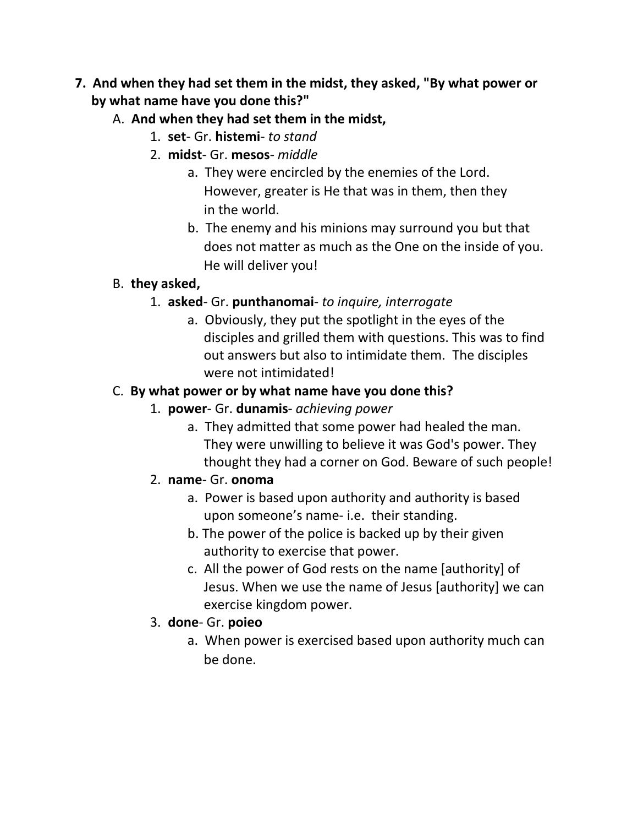- **7. And when they had set them in the midst, they asked, "By what power or by what name have you done this?"**
	- A. **And when they had set them in the midst,**
		- 1. **set** Gr. **histemi** *to stand*
		- 2. **midst** Gr. **mesos** *middle*
			- a. They were encircled by the enemies of the Lord. However, greater is He that was in them, then they in the world.
			- b. The enemy and his minions may surround you but that does not matter as much as the One on the inside of you. He will deliver you!

### B. **they asked,**

- 1. **asked** Gr. **punthanomai** *to inquire, interrogate*
	- a. Obviously, they put the spotlight in the eyes of the disciples and grilled them with questions. This was to find out answers but also to intimidate them. The disciples were not intimidated!

# C. **By what power or by what name have you done this?**

- 1. **power** Gr. **dunamis** *achieving power*
	- a. They admitted that some power had healed the man. They were unwilling to believe it was God's power. They thought they had a corner on God. Beware of such people!

### 2. **name**- Gr. **onoma**

- a. Power is based upon authority and authority is based upon someone's name- i.e. their standing.
- b. The power of the police is backed up by their given authority to exercise that power.
- c. All the power of God rests on the name [authority] of Jesus. When we use the name of Jesus [authority] we can exercise kingdom power.

### 3. **done**- Gr. **poieo**

a. When power is exercised based upon authority much can be done.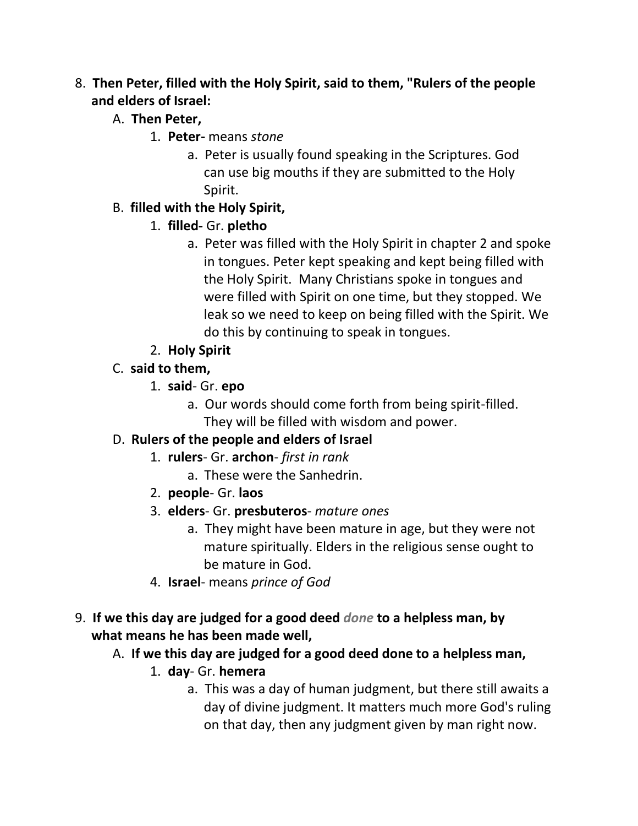### 8. **Then Peter, filled with the Holy Spirit, said to them, "Rulers of the people and elders of Israel:**

- A. **Then Peter,**
	- 1. **Peter-** means *stone*
		- a. Peter is usually found speaking in the Scriptures. God can use big mouths if they are submitted to the Holy Spirit.

### B. **filled with the Holy Spirit,**

- 1. **filled-** Gr. **pletho**
	- a. Peter was filled with the Holy Spirit in chapter 2 and spoke in tongues. Peter kept speaking and kept being filled with the Holy Spirit. Many Christians spoke in tongues and were filled with Spirit on one time, but they stopped. We leak so we need to keep on being filled with the Spirit. We do this by continuing to speak in tongues.
- 2. **Holy Spirit**
- C. **said to them,**
	- 1. **said** Gr. **epo**
		- a. Our words should come forth from being spirit-filled. They will be filled with wisdom and power.

### D. **Rulers of the people and elders of Israel**

- 1. **rulers** Gr. **archon** *first in rank*
	- a. These were the Sanhedrin.
- 2. **people** Gr. **laos**
- 3. **elders** Gr. **presbuteros** *mature ones*
	- a. They might have been mature in age, but they were not mature spiritually. Elders in the religious sense ought to be mature in God.
- 4. **Israel** means *prince of God*
- 9. **If we this day are judged for a good deed** *done* **to a helpless man, by what means he has been made well,**
	- A. **If we this day are judged for a good deed done to a helpless man,**
		- 1. **day** Gr. **hemera**
			- a. This was a day of human judgment, but there still awaits a day of divine judgment. It matters much more God's ruling on that day, then any judgment given by man right now.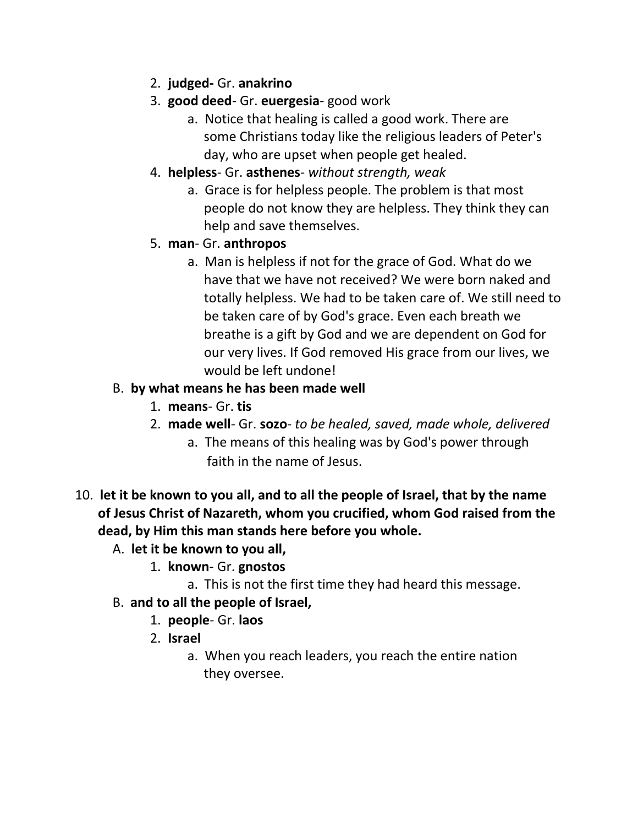- 2. **judged-** Gr. **anakrino**
- 3. **good deed** Gr. **euergesia** good work
	- a. Notice that healing is called a good work. There are some Christians today like the religious leaders of Peter's day, who are upset when people get healed.
- 4. **helpless** Gr. **asthenes** *without strength, weak*
	- a. Grace is for helpless people. The problem is that most people do not know they are helpless. They think they can help and save themselves.

### 5. **man**- Gr. **anthropos**

a. Man is helpless if not for the grace of God. What do we have that we have not received? We were born naked and totally helpless. We had to be taken care of. We still need to be taken care of by God's grace. Even each breath we breathe is a gift by God and we are dependent on God for our very lives. If God removed His grace from our lives, we would be left undone!

### B. **by what means he has been made well**

- 1. **means** Gr. **tis**
- 2. **made well** Gr. **sozo** *to be healed, saved, made whole, delivered*
	- a. The means of this healing was by God's power through faith in the name of Jesus.
- 10. **let it be known to you all, and to all the people of Israel, that by the name of Jesus Christ of Nazareth, whom you crucified, whom God raised from the dead, by Him this man stands here before you whole.**

### A. **let it be known to you all,**

- 1. **known** Gr. **gnostos**
	- a. This is not the first time they had heard this message.
- B. **and to all the people of Israel,**
	- 1. **people** Gr. **laos**
	- 2. **Israel**
		- a. When you reach leaders, you reach the entire nation they oversee.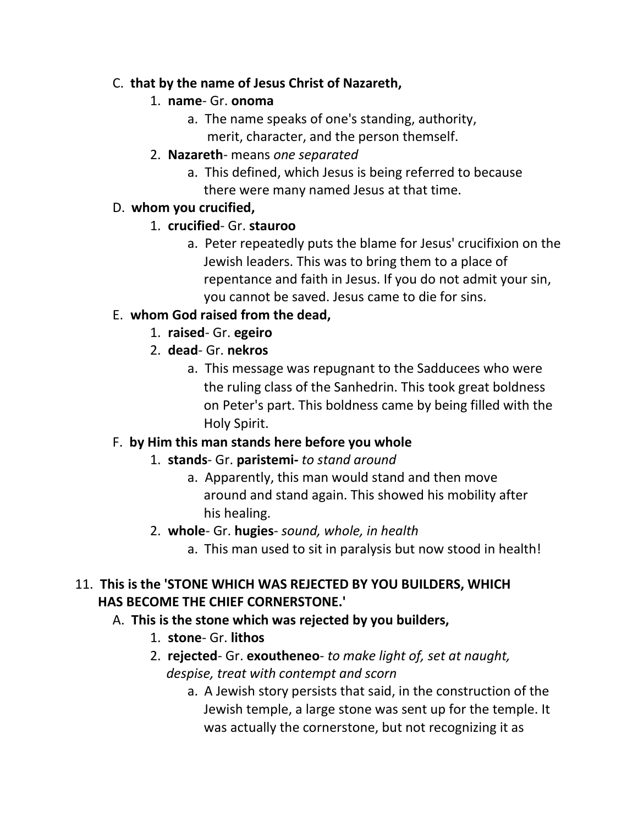#### C. **that by the name of Jesus Christ of Nazareth,**

### 1. **name**- Gr. **onoma**

- a. The name speaks of one's standing, authority,
	- merit, character, and the person themself.
- 2. **Nazareth** means *one separated*
	- a. This defined, which Jesus is being referred to because there were many named Jesus at that time.

### D. **whom you crucified,**

- 1. **crucified** Gr. **stauroo**
	- a. Peter repeatedly puts the blame for Jesus' crucifixion on the Jewish leaders. This was to bring them to a place of repentance and faith in Jesus. If you do not admit your sin, you cannot be saved. Jesus came to die for sins.

### E. **whom God raised from the dead,**

- 1. **raised** Gr. **egeiro**
- 2. **dead** Gr. **nekros**
	- a. This message was repugnant to the Sadducees who were the ruling class of the Sanhedrin. This took great boldness on Peter's part. This boldness came by being filled with the Holy Spirit.

### F. **by Him this man stands here before you whole**

### 1. **stands**- Gr. **paristemi-** *to stand around*

- a. Apparently, this man would stand and then move around and stand again. This showed his mobility after his healing.
- 2. **whole** Gr. **hugies** *sound, whole, in health*
	- a. This man used to sit in paralysis but now stood in health!

### 11. **This is the 'STONE WHICH WAS REJECTED BY YOU BUILDERS, WHICH HAS BECOME THE CHIEF CORNERSTONE.'**

### A. **This is the stone which was rejected by you builders,**

- 1. **stone** Gr. **lithos**
- 2. **rejected** Gr. **exoutheneo** *to make light of, set at naught, despise, treat with contempt and scorn*
	- a. A Jewish story persists that said, in the construction of the Jewish temple, a large stone was sent up for the temple. It was actually the cornerstone, but not recognizing it as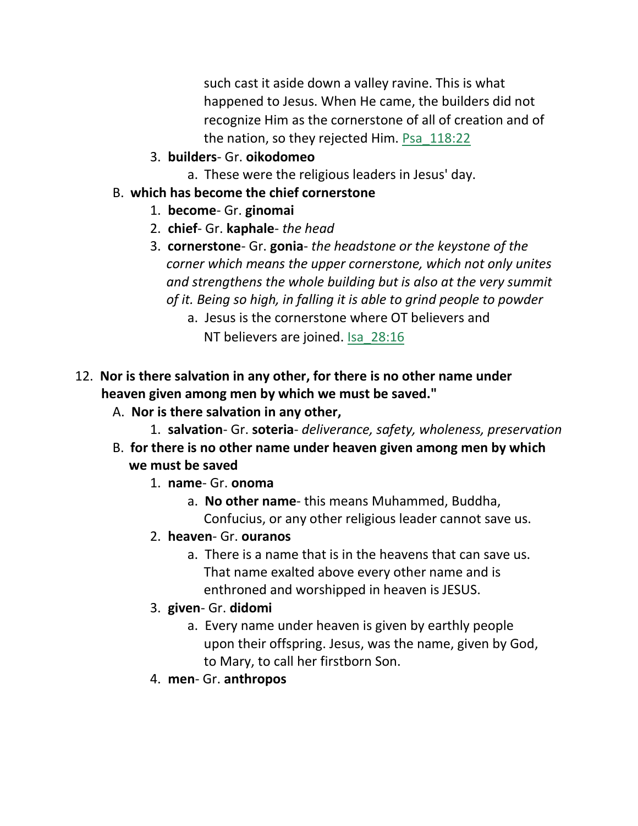such cast it aside down a valley ravine. This is what happened to Jesus. When He came, the builders did not recognize Him as the cornerstone of all of creation and of the nation, so they rejected Him. Psa\_118:22

- 3. **builders** Gr. **oikodomeo**
	- a. These were the religious leaders in Jesus' day.
- B. **which has become the chief cornerstone**
	- 1. **become** Gr. **ginomai**
	- 2. **chief** Gr. **kaphale** *the head*
	- 3. **cornerstone** Gr. **gonia** *the headstone or the keystone of the corner which means the upper cornerstone, which not only unites and strengthens the whole building but is also at the very summit of it. Being so high, in falling it is able to grind people to powder*
		- a. Jesus is the cornerstone where OT believers and NT believers are joined. Isa\_28:16
- 12. **Nor is there salvation in any other, for there is no other name under heaven given among men by which we must be saved."**
	- A. **Nor is there salvation in any other,**
		- 1. **salvation** Gr. **soteria** *deliverance, safety, wholeness, preservation*
	- B. **for there is no other name under heaven given among men by which we must be saved**
		- 1. **name** Gr. **onoma**
			- a. **No other name** this means Muhammed, Buddha, Confucius, or any other religious leader cannot save us.
		- 2. **heaven** Gr. **ouranos**
			- a. There is a name that is in the heavens that can save us. That name exalted above every other name and is enthroned and worshipped in heaven is JESUS.
		- 3. **given** Gr. **didomi**
			- a. Every name under heaven is given by earthly people upon their offspring. Jesus, was the name, given by God, to Mary, to call her firstborn Son.
		- 4. **men** Gr. **anthropos**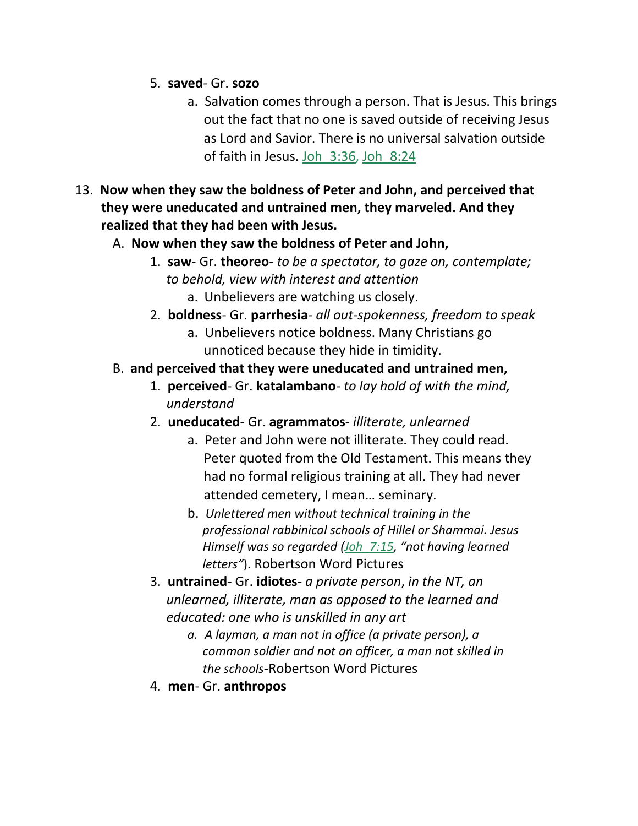- 5. **saved** Gr. **sozo**
	- a. Salvation comes through a person. That is Jesus. This brings out the fact that no one is saved outside of receiving Jesus as Lord and Savior. There is no universal salvation outside of faith in Jesus. Joh\_3:36, Joh\_8:24
- 13. **Now when they saw the boldness of Peter and John, and perceived that they were uneducated and untrained men, they marveled. And they realized that they had been with Jesus.**
	- A. **Now when they saw the boldness of Peter and John,**
		- 1. **saw** Gr. **theoreo** *to be a spectator, to gaze on, contemplate; to behold, view with interest and attention* a. Unbelievers are watching us closely.
		- 2. **boldness** Gr. **parrhesia** *all out-spokenness, freedom to speak*
			- a. Unbelievers notice boldness. Many Christians go unnoticed because they hide in timidity.
	- B. **and perceived that they were uneducated and untrained men,**
		- 1. **perceived** Gr. **katalambano** *to lay hold of with the mind, understand*
		- 2. **uneducated** Gr. **agrammatos** *illiterate, unlearned*
			- a. Peter and John were not illiterate. They could read. Peter quoted from the Old Testament. This means they had no formal religious training at all. They had never attended cemetery, I mean… seminary.
			- b. *Unlettered men without technical training in the professional rabbinical schools of Hillel or Shammai. Jesus Himself was so regarded (Joh\_7:15, "not having learned letters"*). Robertson Word Pictures
		- 3. **untrained** Gr. **idiotes** *a private person*, *in the NT, an unlearned, illiterate, man as opposed to the learned and educated: one who is unskilled in any art*
			- *a. A layman, a man not in office (a private person), a common soldier and not an officer, a man not skilled in the schools-*Robertson Word Pictures
		- 4. **men** Gr. **anthropos**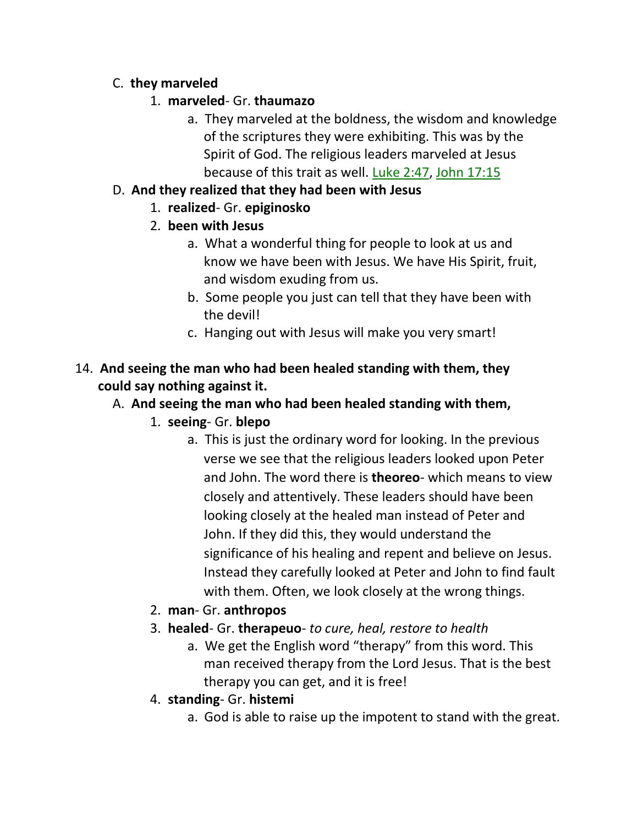### C. **they marveled**

- 1. **marveled** Gr. **thaumazo**
	- a. They marveled at the boldness, the wisdom and knowledge of the scriptures they were exhibiting. This was by the Spirit of God. The religious leaders marveled at Jesus because of this trait as well. Luke 2:47, John 17:15

### D. **And they realized that they had been with Jesus**

- 1. **realized** Gr. **epiginosko**
- 2. **been with Jesus**
	- a. What a wonderful thing for people to look at us and know we have been with Jesus. We have His Spirit, fruit, and wisdom exuding from us.
	- b. Some people you just can tell that they have been with the devil!
	- c. Hanging out with Jesus will make you very smart!

# 14. **And seeing the man who had been healed standing with them, they could say nothing against it.**

# A. **And seeing the man who had been healed standing with them,**

- 1. **seeing** Gr. **blepo**
	- a. This is just the ordinary word for looking. In the previous verse we see that the religious leaders looked upon Peter and John. The word there is **theoreo**- which means to view closely and attentively. These leaders should have been looking closely at the healed man instead of Peter and John. If they did this, they would understand the significance of his healing and repent and believe on Jesus. Instead they carefully looked at Peter and John to find fault with them. Often, we look closely at the wrong things.
- 2. **man** Gr. **anthropos**
- 3. **healed** Gr. **therapeuo** *to cure, heal, restore to health*
	- a. We get the English word "therapy" from this word. This man received therapy from the Lord Jesus. That is the best therapy you can get, and it is free!
- 4. **standing** Gr. **histemi**
	- a. God is able to raise up the impotent to stand with the great.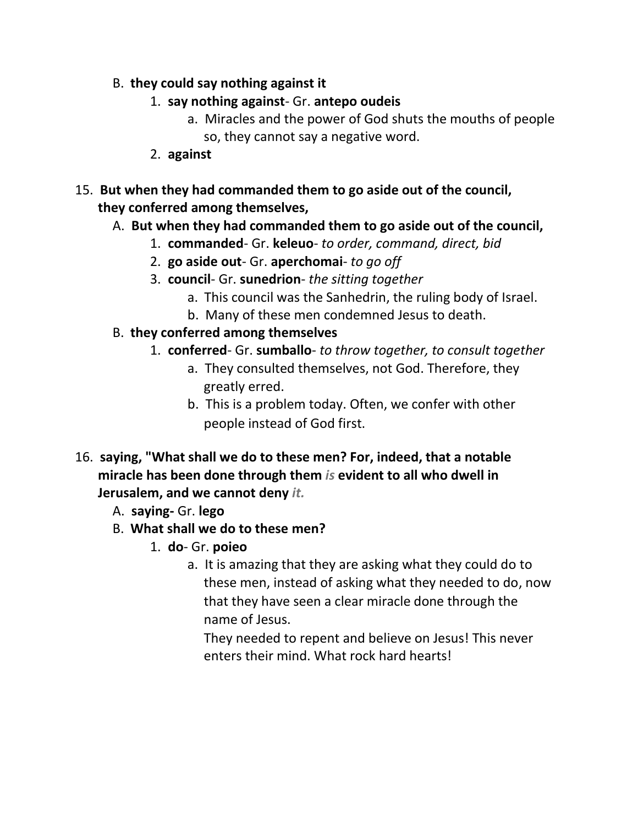- B. **they could say nothing against it**
	- 1. **say nothing against** Gr. **antepo oudeis**
		- a. Miracles and the power of God shuts the mouths of people so, they cannot say a negative word.
	- 2. **against**
- 15. **But when they had commanded them to go aside out of the council, they conferred among themselves,**
	- A. **But when they had commanded them to go aside out of the council,**
		- 1. **commanded** Gr. **keleuo** *to order, command, direct, bid*
		- 2. **go aside out** Gr. **aperchomai** *to go off*
		- 3. **council** Gr. **sunedrion** *the sitting together*
			- a. This council was the Sanhedrin, the ruling body of Israel.
			- b. Many of these men condemned Jesus to death.
	- B. **they conferred among themselves**
		- 1. **conferred** Gr. **sumballo** *to throw together, to consult together*
			- a. They consulted themselves, not God. Therefore, they greatly erred.
			- b. This is a problem today. Often, we confer with other people instead of God first.
- 16. **saying, "What shall we do to these men? For, indeed, that a notable miracle has been done through them** *is* **evident to all who dwell in Jerusalem, and we cannot deny** *it.*
	- A. **saying-** Gr. **lego**
	- B. **What shall we do to these men?**
		- 1. **do** Gr. **poieo**
			- a. It is amazing that they are asking what they could do to these men, instead of asking what they needed to do, now that they have seen a clear miracle done through the name of Jesus.

 They needed to repent and believe on Jesus! This never enters their mind. What rock hard hearts!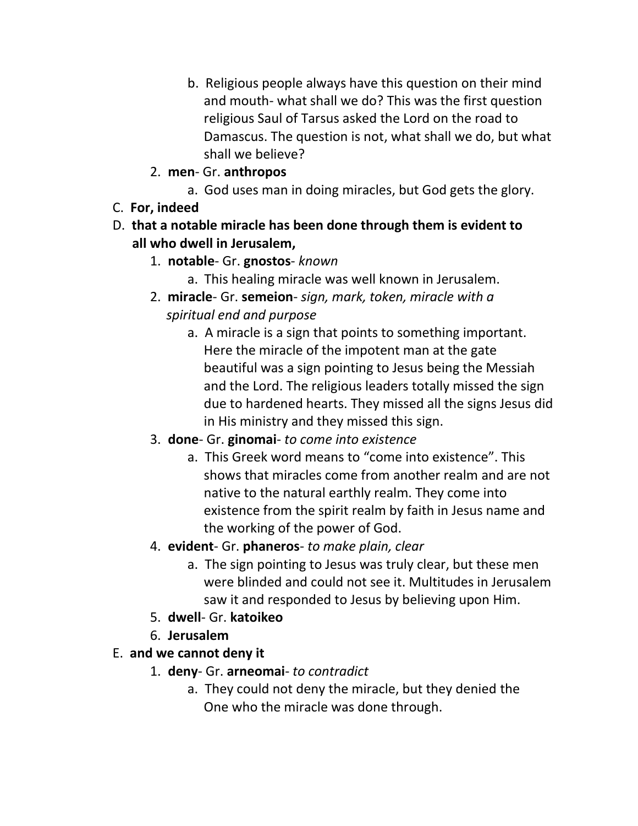- b. Religious people always have this question on their mind and mouth- what shall we do? This was the first question religious Saul of Tarsus asked the Lord on the road to Damascus. The question is not, what shall we do, but what shall we believe?
- 2. **men** Gr. **anthropos**
	- a. God uses man in doing miracles, but God gets the glory.
- C. **For, indeed**
- D. **that a notable miracle has been done through them is evident to all who dwell in Jerusalem,**
	- 1. **notable** Gr. **gnostos** *known*
		- a. This healing miracle was well known in Jerusalem.
	- 2. **miracle** Gr. **semeion** *sign, mark, token, miracle with a spiritual end and purpose*
		- a. A miracle is a sign that points to something important. Here the miracle of the impotent man at the gate beautiful was a sign pointing to Jesus being the Messiah and the Lord. The religious leaders totally missed the sign due to hardened hearts. They missed all the signs Jesus did in His ministry and they missed this sign.
	- 3. **done** Gr. **ginomai** *to come into existence*
		- a. This Greek word means to "come into existence". This shows that miracles come from another realm and are not native to the natural earthly realm. They come into existence from the spirit realm by faith in Jesus name and the working of the power of God.
	- 4. **evident** Gr. **phaneros** *to make plain, clear*
		- a. The sign pointing to Jesus was truly clear, but these men were blinded and could not see it. Multitudes in Jerusalem saw it and responded to Jesus by believing upon Him.
	- 5. **dwell** Gr. **katoikeo**
	- 6. **Jerusalem**

### E. **and we cannot deny it**

- 1. **deny** Gr. **arneomai** *to contradict*
	- a. They could not deny the miracle, but they denied the One who the miracle was done through.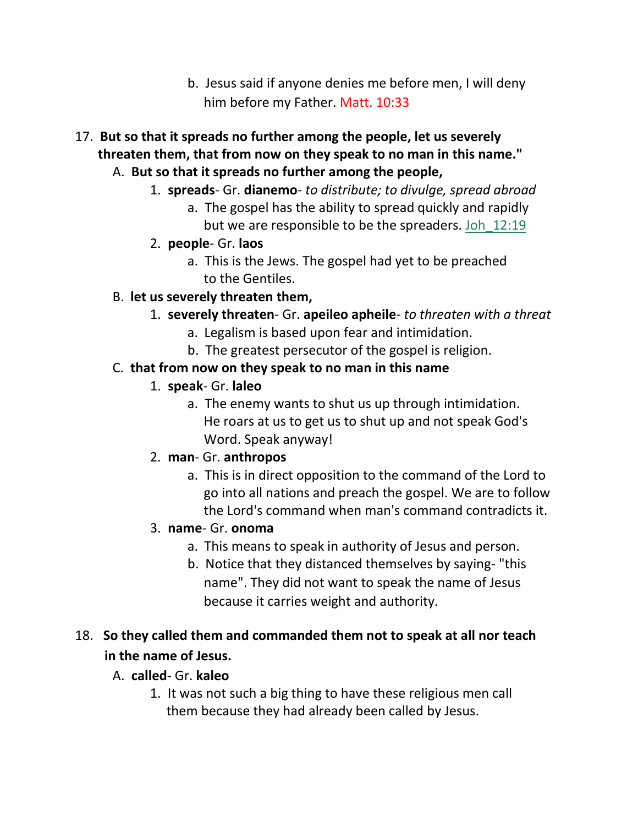- b. Jesus said if anyone denies me before men, I will deny him before my Father. Matt. 10:33
- 17. **But so that it spreads no further among the people, let us severely threaten them, that from now on they speak to no man in this name."**
	- A. **But so that it spreads no further among the people,**
		- 1. **spreads** Gr. **dianemo** *to distribute; to divulge, spread abroad*
			- a. The gospel has the ability to spread quickly and rapidly but we are responsible to be the spreaders. Joh\_12:19
		- 2. **people** Gr. **laos**
			- a. This is the Jews. The gospel had yet to be preached to the Gentiles.
	- B. **let us severely threaten them,**
		- 1. **severely threaten** Gr. **apeileo apheile** *to threaten with a threat*
			- a. Legalism is based upon fear and intimidation.
			- b. The greatest persecutor of the gospel is religion.

#### C. **that from now on they speak to no man in this name**

- 1. **speak** Gr. **laleo**
	- a. The enemy wants to shut us up through intimidation. He roars at us to get us to shut up and not speak God's Word. Speak anyway!
- 2. **man** Gr. **anthropos**
	- a. This is in direct opposition to the command of the Lord to go into all nations and preach the gospel. We are to follow the Lord's command when man's command contradicts it.
- 3. **name** Gr. **onoma**
	- a. This means to speak in authority of Jesus and person.
	- b. Notice that they distanced themselves by saying- "this name". They did not want to speak the name of Jesus because it carries weight and authority.

# 18. **So they called them and commanded them not to speak at all nor teach in the name of Jesus.**

- A. **called** Gr. **kaleo**
	- 1. It was not such a big thing to have these religious men call them because they had already been called by Jesus.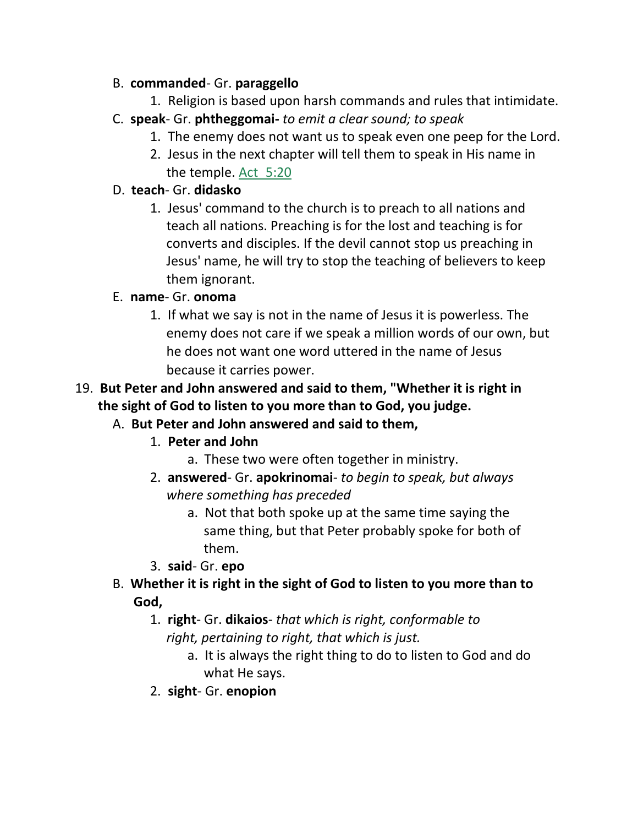#### B. **commanded**- Gr. **paraggello**

- 1. Religion is based upon harsh commands and rules that intimidate.
- C. **speak** Gr. **phtheggomai-** *to emit a clear sound; to speak*
	- 1. The enemy does not want us to speak even one peep for the Lord.
	- 2. Jesus in the next chapter will tell them to speak in His name in the temple. Act\_5:20

### D. **teach**- Gr. **didasko**

1. Jesus' command to the church is to preach to all nations and teach all nations. Preaching is for the lost and teaching is for converts and disciples. If the devil cannot stop us preaching in Jesus' name, he will try to stop the teaching of believers to keep them ignorant.

### E. **name**- Gr. **onoma**

1. If what we say is not in the name of Jesus it is powerless. The enemy does not care if we speak a million words of our own, but he does not want one word uttered in the name of Jesus because it carries power.

# 19. **But Peter and John answered and said to them, "Whether it is right in the sight of God to listen to you more than to God, you judge.**

### A. **But Peter and John answered and said to them,**

- 1. **Peter and John**
	- a. These two were often together in ministry.
- 2. **answered** Gr. **apokrinomai** *to begin to speak, but always where something has preceded*
	- a. Not that both spoke up at the same time saying the same thing, but that Peter probably spoke for both of them.
- 3. **said** Gr. **epo**
- B. **Whether it is right in the sight of God to listen to you more than to God,**
	- 1. **right** Gr. **dikaios** *that which is right, conformable to right, pertaining to right, that which is just.*
		- a. It is always the right thing to do to listen to God and do what He says.
	- 2. **sight** Gr. **enopion**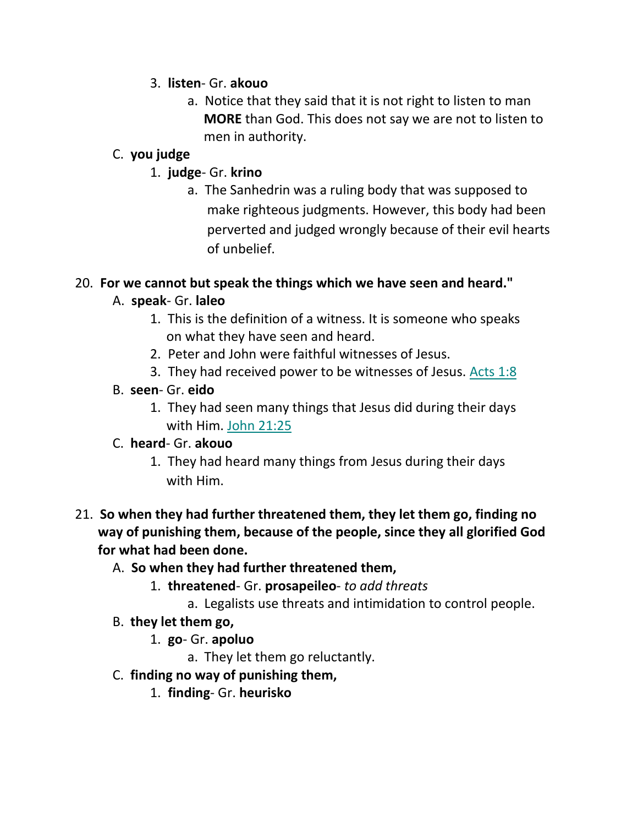#### 3. **listen**- Gr. **akouo**

a. Notice that they said that it is not right to listen to man  **MORE** than God. This does not say we are not to listen to men in authority.

### C. **you judge**

- 1. **judge** Gr. **krino**
	- a. The Sanhedrin was a ruling body that was supposed to make righteous judgments. However, this body had been perverted and judged wrongly because of their evil hearts of unbelief.

### 20. **For we cannot but speak the things which we have seen and heard."**

# A. **speak**- Gr. **laleo**

- 1. This is the definition of a witness. It is someone who speaks on what they have seen and heard.
- 2. Peter and John were faithful witnesses of Jesus.
- 3. They had received power to be witnesses of Jesus. Acts 1:8

### B. **seen**- Gr. **eido**

1. They had seen many things that Jesus did during their days with Him. John 21:25

### C. **heard**- Gr. **akouo**

1. They had heard many things from Jesus during their days with Him.

### 21. **So when they had further threatened them, they let them go, finding no way of punishing them, because of the people, since they all glorified God for what had been done.**

- A. **So when they had further threatened them,**
	- 1. **threatened** Gr. **prosapeileo** *to add threats*
		- a. Legalists use threats and intimidation to control people.
- B. **they let them go,**
	- 1. **go** Gr. **apoluo**
		- a. They let them go reluctantly.
- C. **finding no way of punishing them,**
	- 1. **finding** Gr. **heurisko**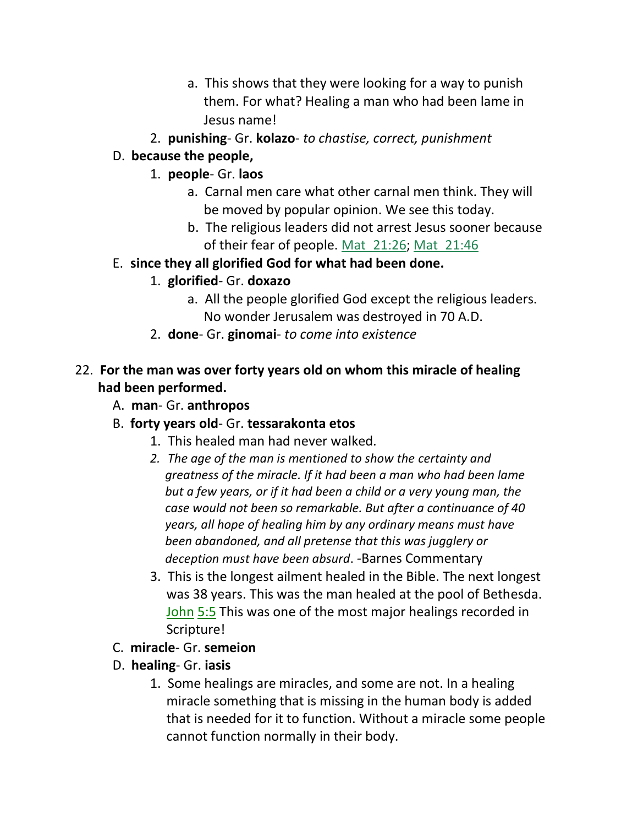- a. This shows that they were looking for a way to punish them. For what? Healing a man who had been lame in Jesus name!
- 2. **punishing** Gr. **kolazo** *to chastise, correct, punishment*

### D. **because the people,**

- 1. **people** Gr. **laos**
	- a. Carnal men care what other carnal men think. They will be moved by popular opinion. We see this today.
	- b. The religious leaders did not arrest Jesus sooner because of their fear of people. Mat 21:26; Mat 21:46
- E. **since they all glorified God for what had been done.**
	- 1. **glorified** Gr. **doxazo**
		- a. All the people glorified God except the religious leaders. No wonder Jerusalem was destroyed in 70 A.D.
	- 2. **done** Gr. **ginomai** *to come into existence*

### 22. **For the man was over forty years old on whom this miracle of healing had been performed.**

- A. **man** Gr. **anthropos**
- B. **forty years old** Gr. **tessarakonta etos**
	- 1. This healed man had never walked.
	- *2. The age of the man is mentioned to show the certainty and greatness of the miracle. If it had been a man who had been lame but a few years, or if it had been a child or a very young man, the case would not been so remarkable. But after a continuance of 40 years, all hope of healing him by any ordinary means must have been abandoned, and all pretense that this was jugglery or deception must have been absurd*. *-*Barnes Commentary
	- 3. This is the longest ailment healed in the Bible. The next longest was 38 years. This was the man healed at the pool of Bethesda. John 5:5 This was one of the most major healings recorded in Scripture!
- C. **miracle** Gr. **semeion**
- D. **healing** Gr. **iasis**
	- 1. Some healings are miracles, and some are not. In a healing miracle something that is missing in the human body is added that is needed for it to function. Without a miracle some people cannot function normally in their body.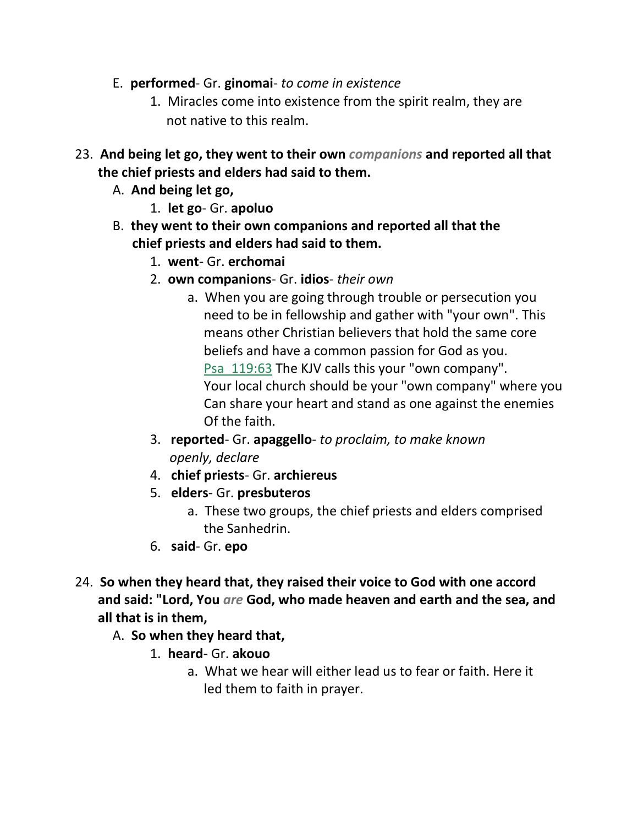- E. **performed** Gr. **ginomai** *to come in existence*
	- 1. Miracles come into existence from the spirit realm, they are not native to this realm.
- 23. **And being let go, they went to their own** *companions* **and reported all that the chief priests and elders had said to them.**
	- A. **And being let go,**
		- 1. **let go** Gr. **apoluo**
	- B. **they went to their own companions and reported all that the chief priests and elders had said to them.**
		- 1. **went** Gr. **erchomai**
		- 2. **own companions** Gr. **idios** *their own*
			- a. When you are going through trouble or persecution you need to be in fellowship and gather with "your own". This means other Christian believers that hold the same core beliefs and have a common passion for God as you. Psa\_119:63 The KJV calls this your "own company". Your local church should be your "own company" where you Can share your heart and stand as one against the enemies Of the faith.
		- 3. **reported** Gr. **apaggello** *to proclaim, to make known openly, declare*
		- 4. **chief priests** Gr. **archiereus**
		- 5. **elders** Gr. **presbuteros**
			- a. These two groups, the chief priests and elders comprised the Sanhedrin.
		- 6. **said** Gr. **epo**
- 24. **So when they heard that, they raised their voice to God with one accord and said: "Lord, You** *are* **God, who made heaven and earth and the sea, and all that is in them,**
	- A. **So when they heard that,**
		- 1. **heard** Gr. **akouo**
			- a. What we hear will either lead us to fear or faith. Here it led them to faith in prayer.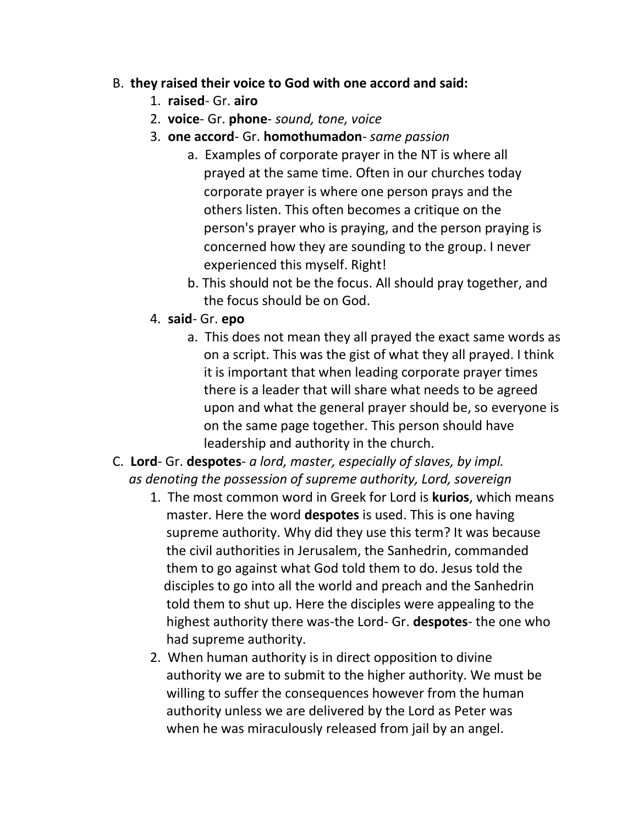#### B. **they raised their voice to God with one accord and said:**

- 1. **raised** Gr. **airo**
- 2. **voice** Gr. **phone** *sound, tone, voice*
- 3. **one accord** Gr. **homothumadon** *same passion*
	- a. Examples of corporate prayer in the NT is where all prayed at the same time. Often in our churches today corporate prayer is where one person prays and the others listen. This often becomes a critique on the person's prayer who is praying, and the person praying is concerned how they are sounding to the group. I never experienced this myself. Right!
	- b. This should not be the focus. All should pray together, and the focus should be on God.
- 4. **said** Gr. **epo**
	- a. This does not mean they all prayed the exact same words as on a script. This was the gist of what they all prayed. I think it is important that when leading corporate prayer times there is a leader that will share what needs to be agreed upon and what the general prayer should be, so everyone is on the same page together. This person should have leadership and authority in the church.
- C. **Lord** Gr. **despotes** *a lord, master, especially of slaves, by impl. as denoting the possession of supreme authority, Lord, sovereign*
	- 1. The most common word in Greek for Lord is **kurios**, which means master. Here the word **despotes** is used. This is one having supreme authority. Why did they use this term? It was because the civil authorities in Jerusalem, the Sanhedrin, commanded them to go against what God told them to do. Jesus told the disciples to go into all the world and preach and the Sanhedrin told them to shut up. Here the disciples were appealing to the highest authority there was-the Lord- Gr. **despotes**- the one who had supreme authority.
	- 2. When human authority is in direct opposition to divine authority we are to submit to the higher authority. We must be willing to suffer the consequences however from the human authority unless we are delivered by the Lord as Peter was when he was miraculously released from jail by an angel.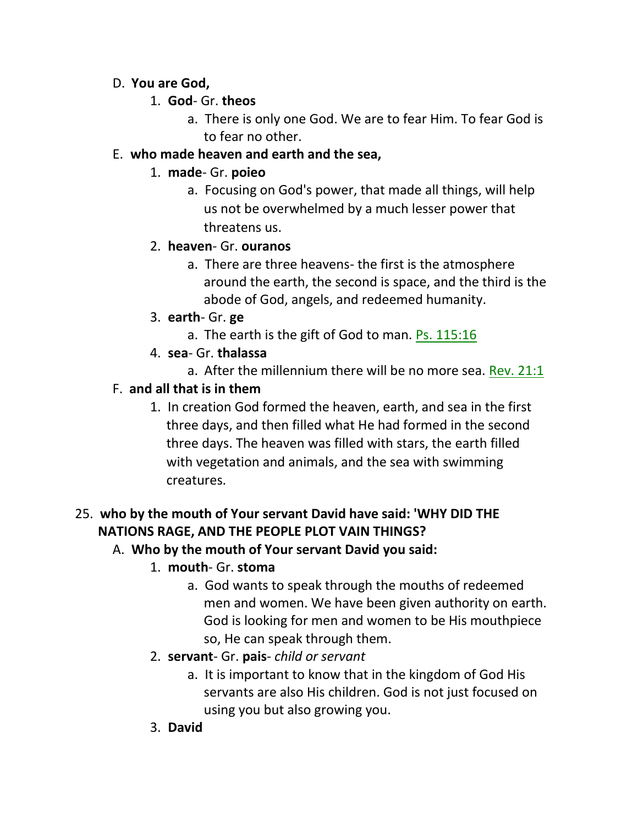#### D. **You are God,**

- 1. **God** Gr. **theos**
	- a. There is only one God. We are to fear Him. To fear God is to fear no other.

### E. **who made heaven and earth and the sea,**

### 1. **made**- Gr. **poieo**

a. Focusing on God's power, that made all things, will help us not be overwhelmed by a much lesser power that threatens us.

### 2. **heaven**- Gr. **ouranos**

- a. There are three heavens- the first is the atmosphere around the earth, the second is space, and the third is the abode of God, angels, and redeemed humanity.
- 3. **earth** Gr. **ge**
	- a. The earth is the gift of God to man. Ps. 115:16
- 4. **sea** Gr. **thalassa**
	- a. After the millennium there will be no more sea. Rev. 21:1

### F. **and all that is in them**

1. In creation God formed the heaven, earth, and sea in the first three days, and then filled what He had formed in the second three days. The heaven was filled with stars, the earth filled with vegetation and animals, and the sea with swimming creatures.

# 25. **who by the mouth of Your servant David have said: 'WHY DID THE NATIONS RAGE, AND THE PEOPLE PLOT VAIN THINGS?**

### A. **Who by the mouth of Your servant David you said:**

- 1. **mouth** Gr. **stoma**
	- a. God wants to speak through the mouths of redeemed men and women. We have been given authority on earth. God is looking for men and women to be His mouthpiece so, He can speak through them.
- 2. **servant** Gr. **pais** *child or servant*
	- a. It is important to know that in the kingdom of God His servants are also His children. God is not just focused on using you but also growing you.
- 3. **David**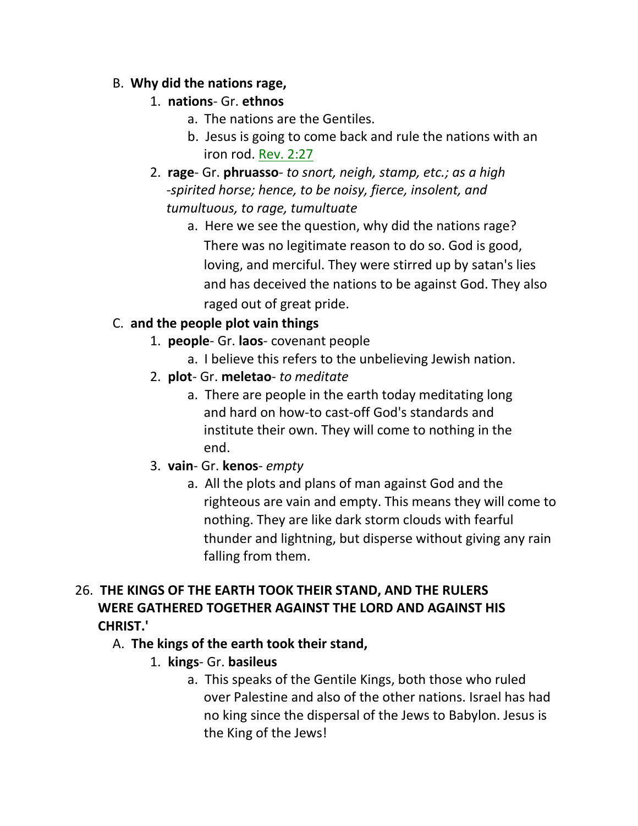#### B. **Why did the nations rage,**

### 1. **nations**- Gr. **ethnos**

- a. The nations are the Gentiles.
- b. Jesus is going to come back and rule the nations with an iron rod. Rev. 2:27
- 2. **rage** Gr. **phruasso** *to snort, neigh, stamp, etc.; as a high* *-spirited horse; hence, to be noisy, fierce, insolent, and tumultuous, to rage, tumultuate*
	- a. Here we see the question, why did the nations rage? There was no legitimate reason to do so. God is good, loving, and merciful. They were stirred up by satan's lies and has deceived the nations to be against God. They also raged out of great pride.

### C. **and the people plot vain things**

- 1. **people** Gr. **laos** covenant people
	- a. I believe this refers to the unbelieving Jewish nation.
- 2. **plot** Gr. **meletao** *to meditate*
	- a. There are people in the earth today meditating long and hard on how-to cast-off God's standards and institute their own. They will come to nothing in the end.
- 3. **vain** Gr. **kenos** *empty*
	- a. All the plots and plans of man against God and the righteous are vain and empty. This means they will come to nothing. They are like dark storm clouds with fearful thunder and lightning, but disperse without giving any rain falling from them.

### 26. **THE KINGS OF THE EARTH TOOK THEIR STAND, AND THE RULERS WERE GATHERED TOGETHER AGAINST THE LORD AND AGAINST HIS CHRIST.'**

### A. **The kings of the earth took their stand,**

- 1. **kings** Gr. **basileus**
	- a. This speaks of the Gentile Kings, both those who ruled over Palestine and also of the other nations. Israel has had no king since the dispersal of the Jews to Babylon. Jesus is the King of the Jews!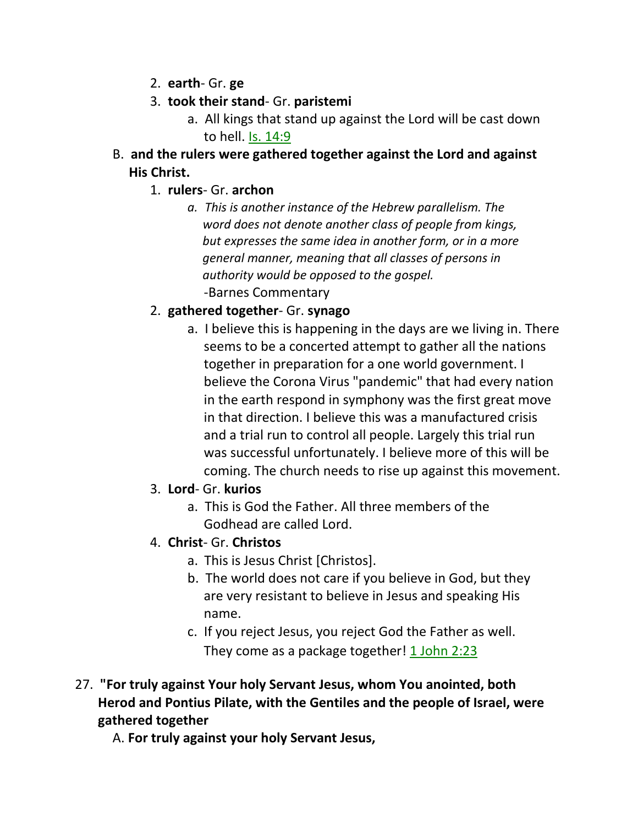- 2. **earth** Gr. **ge**
- 3. **took their stand** Gr. **paristemi**
	- a. All kings that stand up against the Lord will be cast down to hell. Is. 14:9
- B. **and the rulers were gathered together against the Lord and against His Christ.**
	- 1. **rulers** Gr. **archon**
		- *a. This is another instance of the Hebrew parallelism. The word does not denote another class of people from kings, but expresses the same idea in another form, or in a more general manner, meaning that all classes of persons in authority would be opposed to the gospel.* -Barnes Commentary
	- 2. **gathered together** Gr. **synago**
		- a. I believe this is happening in the days are we living in. There seems to be a concerted attempt to gather all the nations together in preparation for a one world government. I believe the Corona Virus "pandemic" that had every nation in the earth respond in symphony was the first great move in that direction. I believe this was a manufactured crisis and a trial run to control all people. Largely this trial run was successful unfortunately. I believe more of this will be coming. The church needs to rise up against this movement.
	- 3. **Lord** Gr. **kurios**
		- a. This is God the Father. All three members of the Godhead are called Lord.
	- 4. **Christ** Gr. **Christos**
		- a. This is Jesus Christ [Christos].
		- b. The world does not care if you believe in God, but they are very resistant to believe in Jesus and speaking His name.
		- c. If you reject Jesus, you reject God the Father as well. They come as a package together! 1 John 2:23
- 27. **"For truly against Your holy Servant Jesus, whom You anointed, both Herod and Pontius Pilate, with the Gentiles and the people of Israel, were gathered together**

A. **For truly against your holy Servant Jesus,**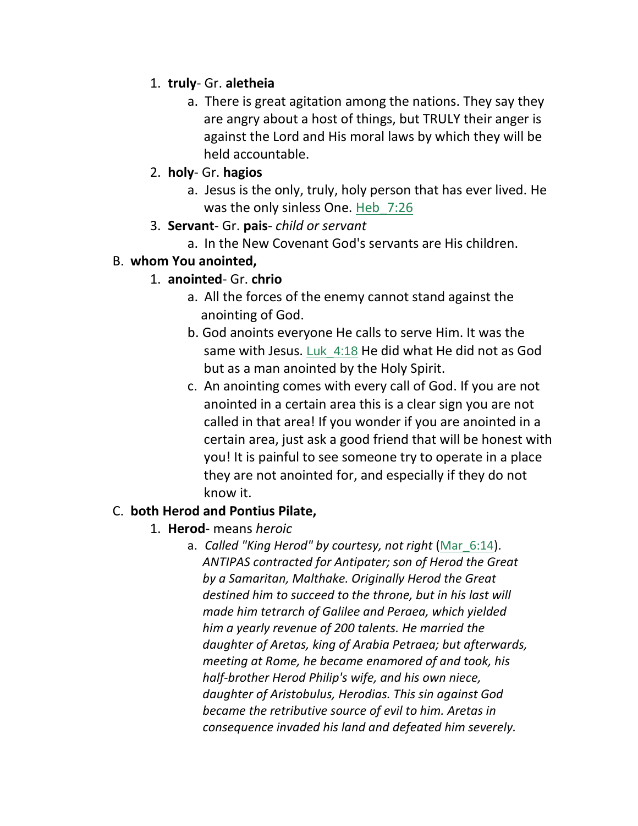#### 1. **truly**- Gr. **aletheia**

- a. There is great agitation among the nations. They say they are angry about a host of things, but TRULY their anger is against the Lord and His moral laws by which they will be held accountable.
- 2. **holy** Gr. **hagios**
	- a. Jesus is the only, truly, holy person that has ever lived. He was the only sinless One. Heb 7:26
- 3. **Servant** Gr. **pais** *child or servant*
	- a. In the New Covenant God's servants are His children.

#### B. **whom You anointed,**

### 1. **anointed**- Gr. **chrio**

- a. All the forces of the enemy cannot stand against the anointing of God.
- b. God anoints everyone He calls to serve Him. It was the same with Jesus. Luk\_4:18 He did what He did not as God but as a man anointed by the Holy Spirit.
- c. An anointing comes with every call of God. If you are not anointed in a certain area this is a clear sign you are not called in that area! If you wonder if you are anointed in a certain area, just ask a good friend that will be honest with you! It is painful to see someone try to operate in a place they are not anointed for, and especially if they do not know it.

#### C. **both Herod and Pontius Pilate,**

- 1. **Herod** means *heroic*
	- a. *Called "King Herod" by courtesy, not right* (Mar\_6:14).  *ANTIPAS contracted for Antipater; son of Herod the Great by a Samaritan, Malthake. Originally Herod the Great destined him to succeed to the throne, but in his last will made him tetrarch of Galilee and Peraea, which yielded him a yearly revenue of 200 talents. He married the daughter of Aretas, king of Arabia Petraea; but afterwards, meeting at Rome, he became enamored of and took, his half-brother Herod Philip's wife, and his own niece, daughter of Aristobulus, Herodias. This sin against God became the retributive source of evil to him. Aretas in consequence invaded his land and defeated him severely.*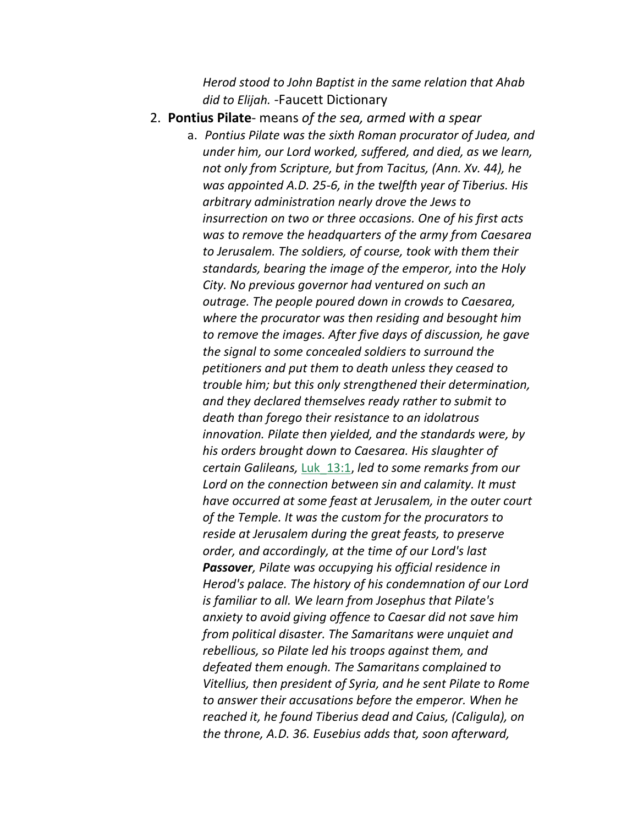*Herod stood to John Baptist in the same relation that Ahab did to Elijah.* -Faucett Dictionary

2. **Pontius Pilate**- means *of the sea, armed with a spear*

a. *Pontius Pilate was the sixth Roman procurator of Judea, and under him, our Lord worked, suffered, and died, as we learn, not only from Scripture, but from Tacitus, (Ann. Xv. 44), he was appointed A.D. 25-6, in the twelfth year of Tiberius. His arbitrary administration nearly drove the Jews to insurrection on two or three occasions. One of his first acts was to remove the headquarters of the army from Caesarea to Jerusalem. The soldiers, of course, took with them their standards, bearing the image of the emperor, into the Holy City. No previous governor had ventured on such an outrage. The people poured down in crowds to Caesarea, where the procurator was then residing and besought him to remove the images. After five days of discussion, he gave the signal to some concealed soldiers to surround the petitioners and put them to death unless they ceased to trouble him; but this only strengthened their determination, and they declared themselves ready rather to submit to death than forego their resistance to an idolatrous innovation. Pilate then yielded, and the standards were, by his orders brought down to Caesarea. His slaughter of certain Galileans,* Luk\_13:1, *led to some remarks from our Lord on the connection between sin and calamity. It must have occurred at some feast at Jerusalem, in the outer court of the Temple. It was the custom for the procurators to reside at Jerusalem during the great feasts, to preserve order, and accordingly, at the time of our Lord's last Passover, Pilate was occupying his official residence in Herod's palace. The history of his condemnation of our Lord is familiar to all. We learn from Josephus that Pilate's anxiety to avoid giving offence to Caesar did not save him from political disaster. The Samaritans were unquiet and rebellious, so Pilate led his troops against them, and defeated them enough. The Samaritans complained to Vitellius, then president of Syria, and he sent Pilate to Rome to answer their accusations before the emperor. When he reached it, he found Tiberius dead and Caius, (Caligula), on the throne, A.D. 36. Eusebius adds that, soon afterward,*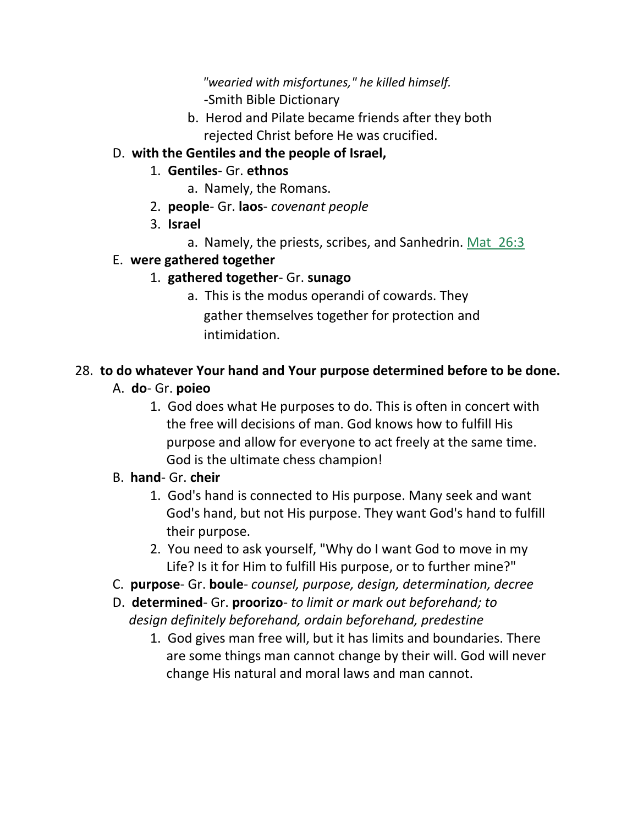*"wearied with misfortunes," he killed himself. -*Smith Bible Dictionary

b. Herod and Pilate became friends after they both rejected Christ before He was crucified.

### D. **with the Gentiles and the people of Israel,**

### 1. **Gentiles**- Gr. **ethnos**

- a. Namely, the Romans.
- 2. **people** Gr. **laos** *covenant people*
- 3. **Israel**
	- a. Namely, the priests, scribes, and Sanhedrin. Mat\_26:3

### E. **were gathered together**

### 1. **gathered together**- Gr. **sunago**

a. This is the modus operandi of cowards. They gather themselves together for protection and intimidation.

### 28. **to do whatever Your hand and Your purpose determined before to be done.**

### A. **do**- Gr. **poieo**

1. God does what He purposes to do. This is often in concert with the free will decisions of man. God knows how to fulfill His purpose and allow for everyone to act freely at the same time. God is the ultimate chess champion!

### B. **hand**- Gr. **cheir**

- 1. God's hand is connected to His purpose. Many seek and want God's hand, but not His purpose. They want God's hand to fulfill their purpose.
- 2. You need to ask yourself, "Why do I want God to move in my Life? Is it for Him to fulfill His purpose, or to further mine?"
- C. **purpose** Gr. **boule** *counsel, purpose, design, determination, decree*
- D. **determined** Gr. **proorizo** *to limit or mark out beforehand; to design definitely beforehand, ordain beforehand, predestine*
	- 1. God gives man free will, but it has limits and boundaries. There are some things man cannot change by their will. God will never change His natural and moral laws and man cannot.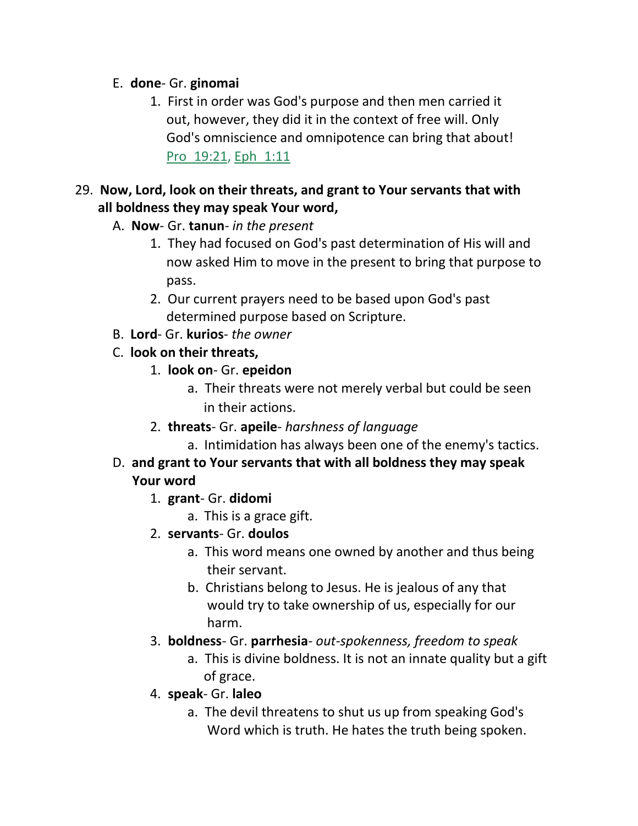#### E. **done**- Gr. **ginomai**

1. First in order was God's purpose and then men carried it out, however, they did it in the context of free will. Only God's omniscience and omnipotence can bring that about! Pro 19:21, Eph 1:11

### 29. **Now, Lord, look on their threats, and grant to Your servants that with all boldness they may speak Your word,**

- A. **Now** Gr. **tanun** *in the present*
	- 1. They had focused on God's past determination of His will and now asked Him to move in the present to bring that purpose to pass.
	- 2. Our current prayers need to be based upon God's past determined purpose based on Scripture.
- B. **Lord** Gr. **kurios** *the owner*
- C. **look on their threats,**
	- 1. **look on** Gr. **epeidon**
		- a. Their threats were not merely verbal but could be seen in their actions.
	- 2. **threats** Gr. **apeile** *harshness of language*
		- a. Intimidation has always been one of the enemy's tactics.
- D. **and grant to Your servants that with all boldness they may speak Your word**
	- 1. **grant** Gr. **didomi**
		- a. This is a grace gift.
	- 2. **servants** Gr. **doulos**
		- a. This word means one owned by another and thus being their servant.
		- b. Christians belong to Jesus. He is jealous of any that would try to take ownership of us, especially for our harm.
	- 3. **boldness** Gr. **parrhesia** *out-spokenness, freedom to speak*
		- a. This is divine boldness. It is not an innate quality but a gift of grace.
	- 4. **speak** Gr. **laleo**
		- a. The devil threatens to shut us up from speaking God's Word which is truth. He hates the truth being spoken.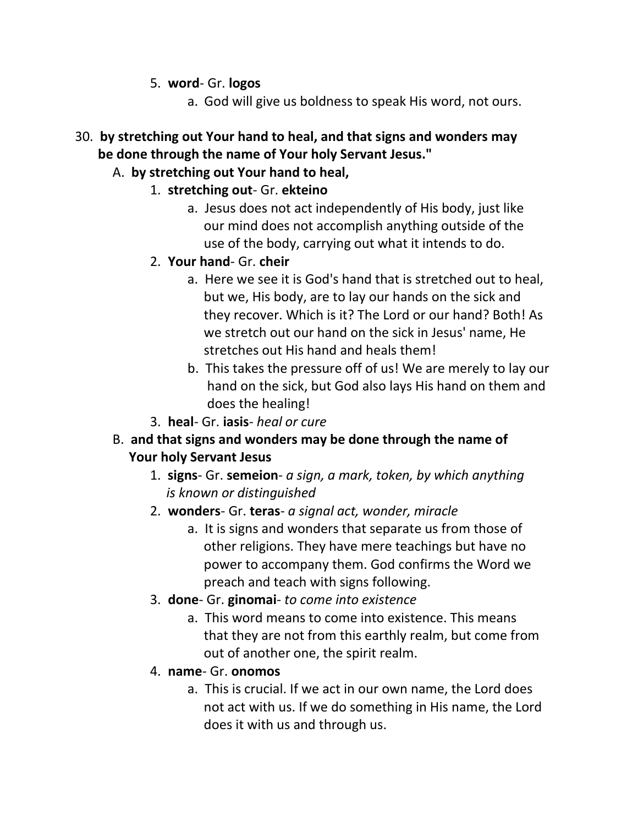- 5. **word** Gr. **logos**
	- a. God will give us boldness to speak His word, not ours.
- 30. **by stretching out Your hand to heal, and that signs and wonders may be done through the name of Your holy Servant Jesus."**
	- A. **by stretching out Your hand to heal,**
		- 1. **stretching out** Gr. **ekteino**
			- a. Jesus does not act independently of His body, just like our mind does not accomplish anything outside of the use of the body, carrying out what it intends to do.
			- 2. **Your hand** Gr. **cheir**
				- a. Here we see it is God's hand that is stretched out to heal, but we, His body, are to lay our hands on the sick and they recover. Which is it? The Lord or our hand? Both! As we stretch out our hand on the sick in Jesus' name, He stretches out His hand and heals them!
				- b. This takes the pressure off of us! We are merely to lay our hand on the sick, but God also lays His hand on them and does the healing!
			- 3. **heal** Gr. **iasis** *heal or cure*
	- B. **and that signs and wonders may be done through the name of Your holy Servant Jesus**
		- 1. **signs** Gr. **semeion** *a sign, a mark, token, by which anything is known or distinguished*
		- 2. **wonders** Gr. **teras** *a signal act, wonder, miracle*
			- a. It is signs and wonders that separate us from those of other religions. They have mere teachings but have no power to accompany them. God confirms the Word we preach and teach with signs following.
		- 3. **done** Gr. **ginomai** *to come into existence*
			- a. This word means to come into existence. This means that they are not from this earthly realm, but come from out of another one, the spirit realm.
		- 4. **name** Gr. **onomos**
			- a. This is crucial. If we act in our own name, the Lord does not act with us. If we do something in His name, the Lord does it with us and through us.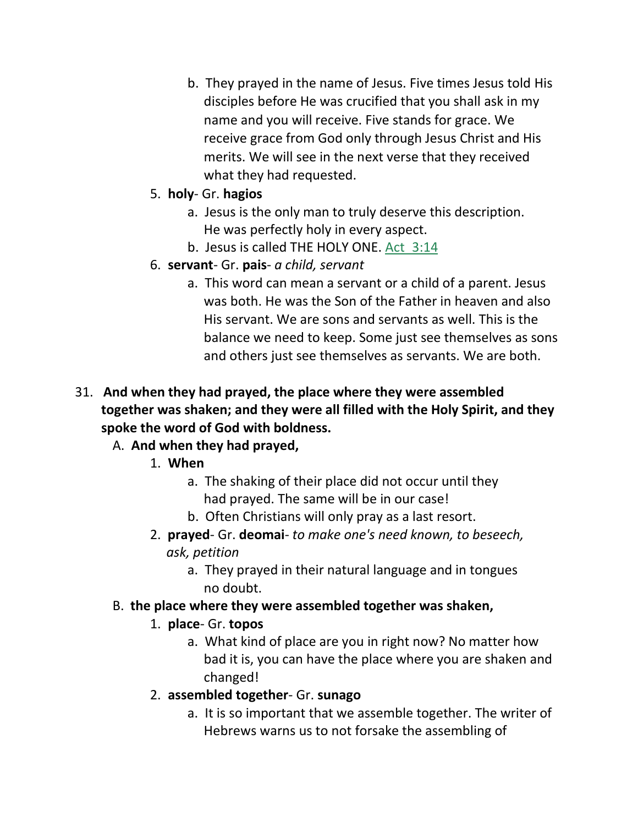- b. They prayed in the name of Jesus. Five times Jesus told His disciples before He was crucified that you shall ask in my name and you will receive. Five stands for grace. We receive grace from God only through Jesus Christ and His merits. We will see in the next verse that they received what they had requested.
- 5. **holy** Gr. **hagios**
	- a. Jesus is the only man to truly deserve this description. He was perfectly holy in every aspect.
	- b. Jesus is called THE HOLY ONE. Act 3:14
- 6. **servant** Gr. **pais** *a child, servant*
	- a. This word can mean a servant or a child of a parent. Jesus was both. He was the Son of the Father in heaven and also His servant. We are sons and servants as well. This is the balance we need to keep. Some just see themselves as sons and others just see themselves as servants. We are both.
- 31. **And when they had prayed, the place where they were assembled together was shaken; and they were all filled with the Holy Spirit, and they spoke the word of God with boldness.**

### A. **And when they had prayed,**

- 1. **When**
	- a. The shaking of their place did not occur until they had prayed. The same will be in our case!
	- b. Often Christians will only pray as a last resort.
- 2. **prayed** Gr. **deomai** *to make one's need known, to beseech, ask, petition*
	- a. They prayed in their natural language and in tongues no doubt.
- B. **the place where they were assembled together was shaken,**

### 1. **place**- Gr. **topos**

- a. What kind of place are you in right now? No matter how bad it is, you can have the place where you are shaken and changed!
- 2. **assembled together** Gr. **sunago**
	- a. It is so important that we assemble together. The writer of Hebrews warns us to not forsake the assembling of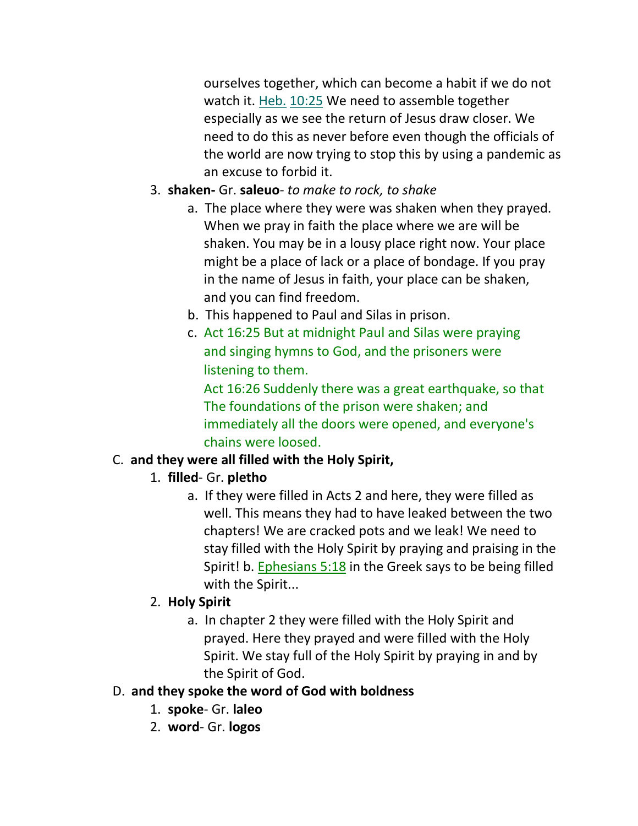ourselves together, which can become a habit if we do not watch it. Heb. 10:25 We need to assemble together especially as we see the return of Jesus draw closer. We need to do this as never before even though the officials of the world are now trying to stop this by using a pandemic as an excuse to forbid it.

- 3. **shaken-** Gr. **saleuo** *to make to rock, to shake*
	- a. The place where they were was shaken when they prayed. When we pray in faith the place where we are will be shaken. You may be in a lousy place right now. Your place might be a place of lack or a place of bondage. If you pray in the name of Jesus in faith, your place can be shaken, and you can find freedom.
	- b. This happened to Paul and Silas in prison.
	- c. Act 16:25 But at midnight Paul and Silas were praying and singing hymns to God, and the prisoners were listening to them.

 Act 16:26 Suddenly there was a great earthquake, so that The foundations of the prison were shaken; and immediately all the doors were opened, and everyone's chains were loosed.

# C. **and they were all filled with the Holy Spirit,**

- 1. **filled** Gr. **pletho**
	- a. If they were filled in Acts 2 and here, they were filled as well. This means they had to have leaked between the two chapters! We are cracked pots and we leak! We need to stay filled with the Holy Spirit by praying and praising in the Spirit! b. Ephesians 5:18 in the Greek says to be being filled with the Spirit...

### 2. **Holy Spirit**

a. In chapter 2 they were filled with the Holy Spirit and prayed. Here they prayed and were filled with the Holy Spirit. We stay full of the Holy Spirit by praying in and by the Spirit of God.

### D. **and they spoke the word of God with boldness**

- 1. **spoke** Gr. **laleo**
- 2. **word** Gr. **logos**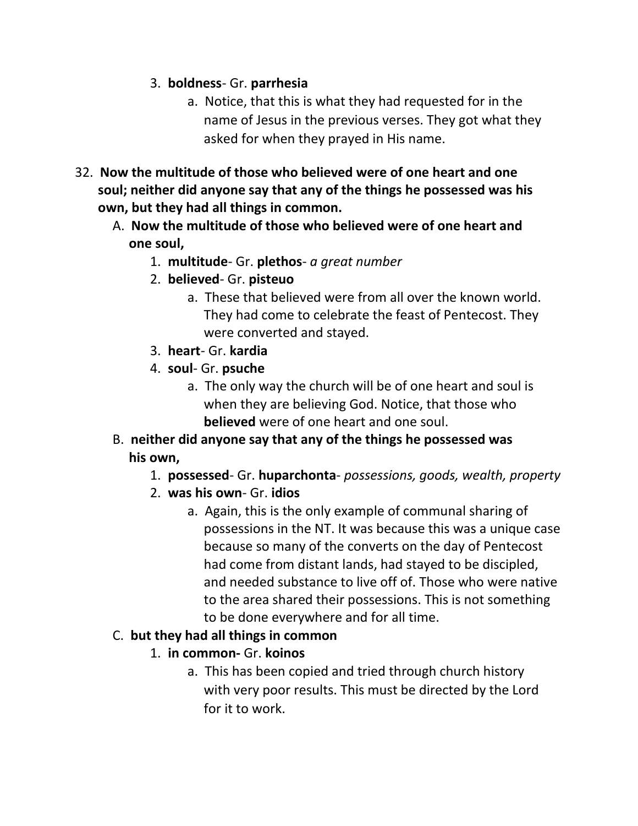- 3. **boldness** Gr. **parrhesia**
	- a. Notice, that this is what they had requested for in the name of Jesus in the previous verses. They got what they asked for when they prayed in His name.
- 32. **Now the multitude of those who believed were of one heart and one soul; neither did anyone say that any of the things he possessed was his own, but they had all things in common.**
	- A. **Now the multitude of those who believed were of one heart and one soul,**
		- 1. **multitude** Gr. **plethos** *a great number*
		- 2. **believed** Gr. **pisteuo**
			- a. These that believed were from all over the known world. They had come to celebrate the feast of Pentecost. They were converted and stayed.
		- 3. **heart** Gr. **kardia**
		- 4. **soul** Gr. **psuche**
			- a. The only way the church will be of one heart and soul is when they are believing God. Notice, that those who  **believed** were of one heart and one soul.
	- B. **neither did anyone say that any of the things he possessed was his own,**
		- 1. **possessed** Gr. **huparchonta** *possessions, goods, wealth, property*
		- 2. **was his own** Gr. **idios**
			- a. Again, this is the only example of communal sharing of possessions in the NT. It was because this was a unique case because so many of the converts on the day of Pentecost had come from distant lands, had stayed to be discipled, and needed substance to live off of. Those who were native to the area shared their possessions. This is not something to be done everywhere and for all time.

#### C. **but they had all things in common**

- 1. **in common-** Gr. **koinos**
	- a. This has been copied and tried through church history with very poor results. This must be directed by the Lord for it to work.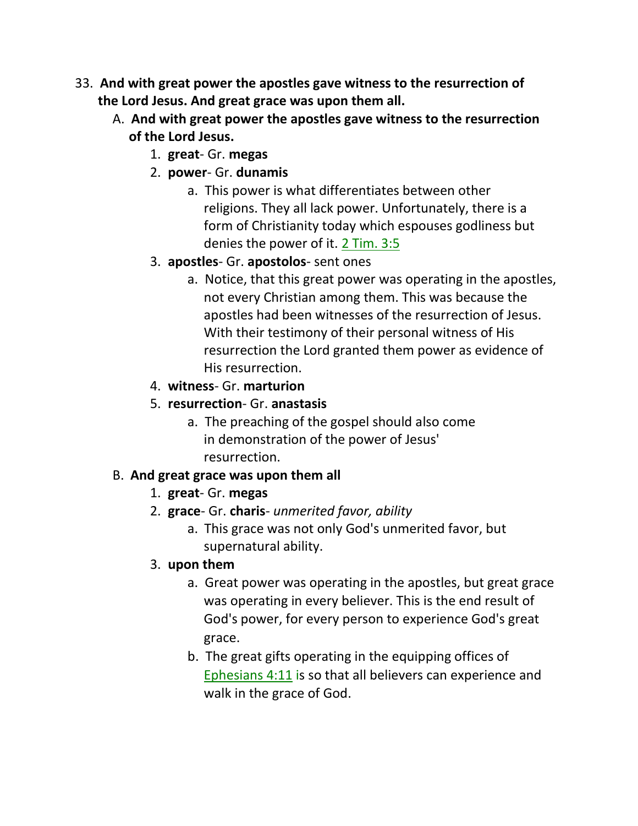- 33. **And with great power the apostles gave witness to the resurrection of the Lord Jesus. And great grace was upon them all.**
	- A. **And with great power the apostles gave witness to the resurrection of the Lord Jesus.**
		- 1. **great** Gr. **megas**
		- 2. **power** Gr. **dunamis**
			- a. This power is what differentiates between other religions. They all lack power. Unfortunately, there is a form of Christianity today which espouses godliness but denies the power of it. 2 Tim. 3:5
		- 3. **apostles** Gr. **apostolos** sent ones
			- a. Notice, that this great power was operating in the apostles, not every Christian among them. This was because the apostles had been witnesses of the resurrection of Jesus. With their testimony of their personal witness of His resurrection the Lord granted them power as evidence of His resurrection.
		- 4. **witness** Gr. **marturion**
		- 5. **resurrection** Gr. **anastasis**
			- a. The preaching of the gospel should also come in demonstration of the power of Jesus' resurrection.

### B. **And great grace was upon them all**

- 1. **great** Gr. **megas**
- 2. **grace** Gr. **charis** *unmerited favor, ability*
	- a. This grace was not only God's unmerited favor, but supernatural ability.
- 3. **upon them**
	- a. Great power was operating in the apostles, but great grace was operating in every believer. This is the end result of God's power, for every person to experience God's great grace.
	- b. The great gifts operating in the equipping offices of Ephesians 4:11 is so that all believers can experience and walk in the grace of God.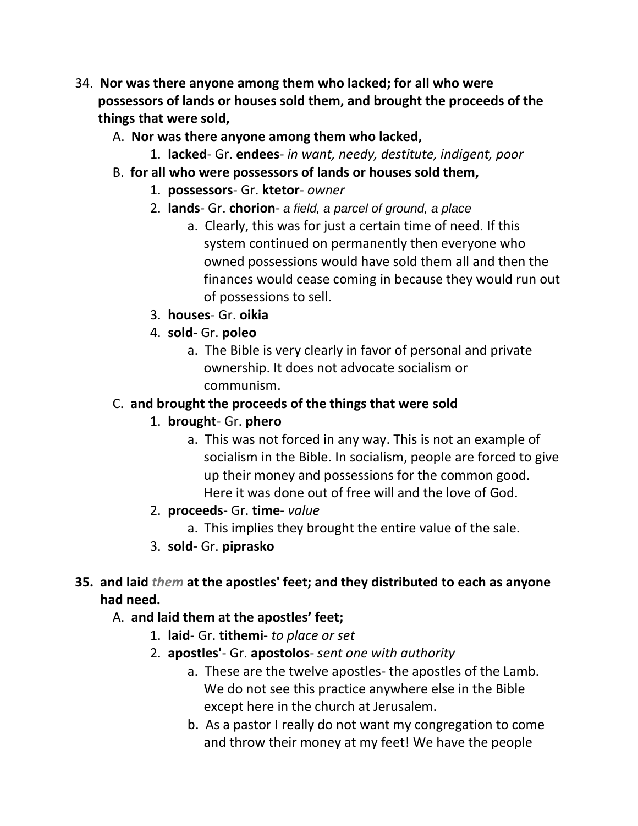- 34. **Nor was there anyone among them who lacked; for all who were possessors of lands or houses sold them, and brought the proceeds of the things that were sold,**
	- A. **Nor was there anyone among them who lacked,**
		- 1. **lacked** Gr. **endees** *in want, needy, destitute, indigent, poor*
	- B. **for all who were possessors of lands or houses sold them,**
		- 1. **possessors** Gr. **ktetor** *owner*
		- 2. **lands** Gr. **chorion** *a field, a parcel of ground, a place*
			- a. Clearly, this was for just a certain time of need. If this system continued on permanently then everyone who owned possessions would have sold them all and then the finances would cease coming in because they would run out of possessions to sell.
		- 3. **houses** Gr. **oikia**
		- 4. **sold** Gr. **poleo**
			- a. The Bible is very clearly in favor of personal and private ownership. It does not advocate socialism or communism.

### C. **and brought the proceeds of the things that were sold**

- 1. **brought** Gr. **phero**
	- a. This was not forced in any way. This is not an example of socialism in the Bible. In socialism, people are forced to give up their money and possessions for the common good. Here it was done out of free will and the love of God.
- 2. **proceeds** Gr. **time** *value*
	- a. This implies they brought the entire value of the sale.
- 3. **sold-** Gr. **piprasko**

### **35. and laid** *them* **at the apostles' feet; and they distributed to each as anyone had need.**

- A. **and laid them at the apostles' feet;**
	- 1. **laid** Gr. **tithemi** *to place or set*
	- 2. **apostles'** Gr. **apostolos** *sent one with authority*
		- a. These are the twelve apostles- the apostles of the Lamb. We do not see this practice anywhere else in the Bible except here in the church at Jerusalem.
		- b. As a pastor I really do not want my congregation to come and throw their money at my feet! We have the people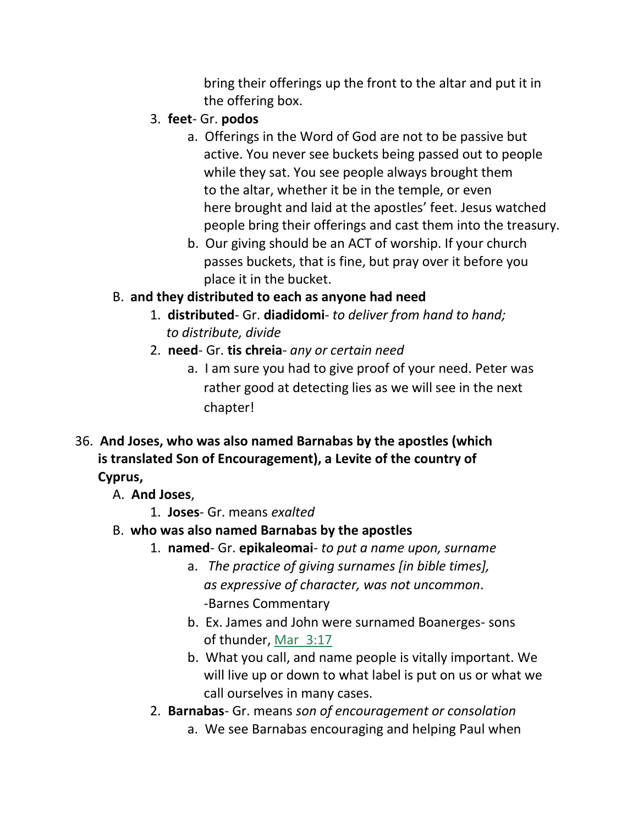bring their offerings up the front to the altar and put it in the offering box.

- 3. **feet** Gr. **podos**
	- a. Offerings in the Word of God are not to be passive but active. You never see buckets being passed out to people while they sat. You see people always brought them to the altar, whether it be in the temple, or even here brought and laid at the apostles' feet. Jesus watched people bring their offerings and cast them into the treasury.
	- b. Our giving should be an ACT of worship. If your church passes buckets, that is fine, but pray over it before you place it in the bucket.

# B. **and they distributed to each as anyone had need**

- 1. **distributed** Gr. **diadidomi** *to deliver from hand to hand; to distribute, divide*
- 2. **need** Gr. **tis chreia** *any or certain need*
	- a. I am sure you had to give proof of your need. Peter was rather good at detecting lies as we will see in the next chapter!
- 36. **And Joses, who was also named Barnabas by the apostles (which is translated Son of Encouragement), a Levite of the country of Cyprus,**
	- A. **And Joses**,
		- 1. **Joses** Gr. means *exalted*
	- B. **who was also named Barnabas by the apostles**
		- 1. **named** Gr. **epikaleomai** *to put a name upon, surname*
			- a. *The practice of giving surnames [in bible times], as expressive of character, was not uncommon*. -Barnes Commentary
			- b. Ex. James and John were surnamed Boanerges- sons of thunder, Mar\_3:17
			- b. What you call, and name people is vitally important. We will live up or down to what label is put on us or what we call ourselves in many cases.
		- 2. **Barnabas** Gr. means *son of encouragement or consolation*
			- a. We see Barnabas encouraging and helping Paul when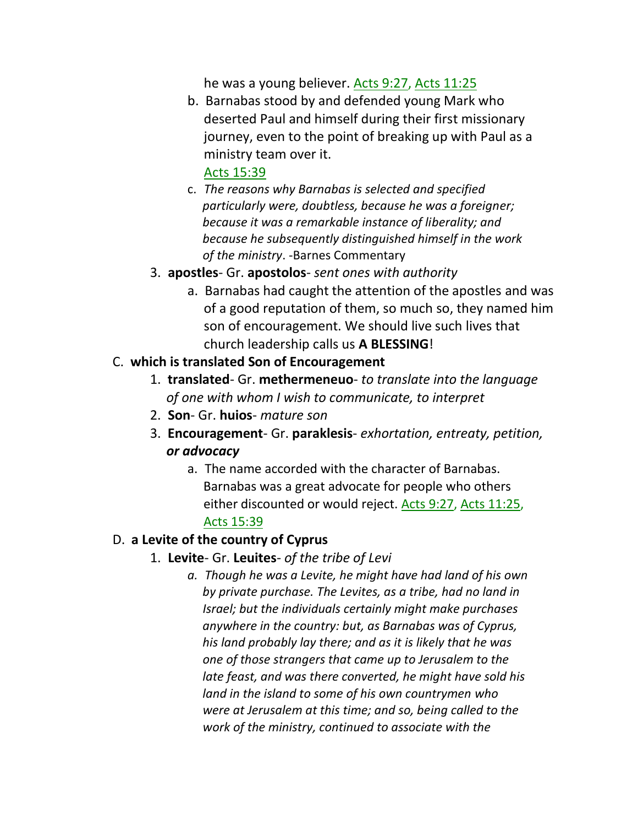he was a young believer. Acts 9:27, Acts 11:25

b. Barnabas stood by and defended young Mark who deserted Paul and himself during their first missionary journey, even to the point of breaking up with Paul as a ministry team over it.

#### Acts 15:39

- c. *The reasons why Barnabas is selected and specified particularly were, doubtless, because he was a foreigner; because it was a remarkable instance of liberality; and because he subsequently distinguished himself in the work of the ministry*. -Barnes Commentary
- 3. **apostles** Gr. **apostolos** *sent ones with authority*
	- a. Barnabas had caught the attention of the apostles and was of a good reputation of them, so much so, they named him son of encouragement. We should live such lives that church leadership calls us **A BLESSING**!

### C. **which is translated Son of Encouragement**

- 1. **translated** Gr. **methermeneuo** *to translate into the language of one with whom I wish to communicate, to interpret*
- 2. **Son** Gr. **huios** *mature son*
- 3. **Encouragement** Gr. **paraklesis** *exhortation, entreaty, petition, or advocacy*
	- a. The name accorded with the character of Barnabas. Barnabas was a great advocate for people who others either discounted or would reject. Acts 9:27, Acts 11:25, Acts 15:39

### D. **a Levite of the country of Cyprus**

- 1. **Levite** Gr. **Leuites** *of the tribe of Levi*
	- *a. Though he was a Levite, he might have had land of his own by private purchase. The Levites, as a tribe, had no land in Israel; but the individuals certainly might make purchases anywhere in the country: but, as Barnabas was of Cyprus, his land probably lay there; and as it is likely that he was one of those strangers that came up to Jerusalem to the late feast, and was there converted, he might have sold his land in the island to some of his own countrymen who were at Jerusalem at this time; and so, being called to the work of the ministry, continued to associate with the*